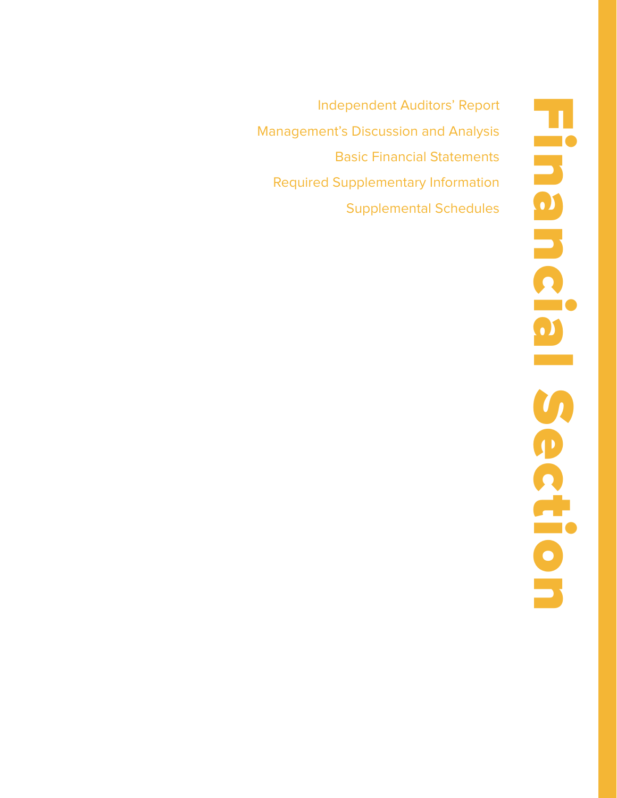Independent Auditors' Report Management's Discussion and Analysis Basic Financial Statements Required Supplementary Information Supplemental Schedules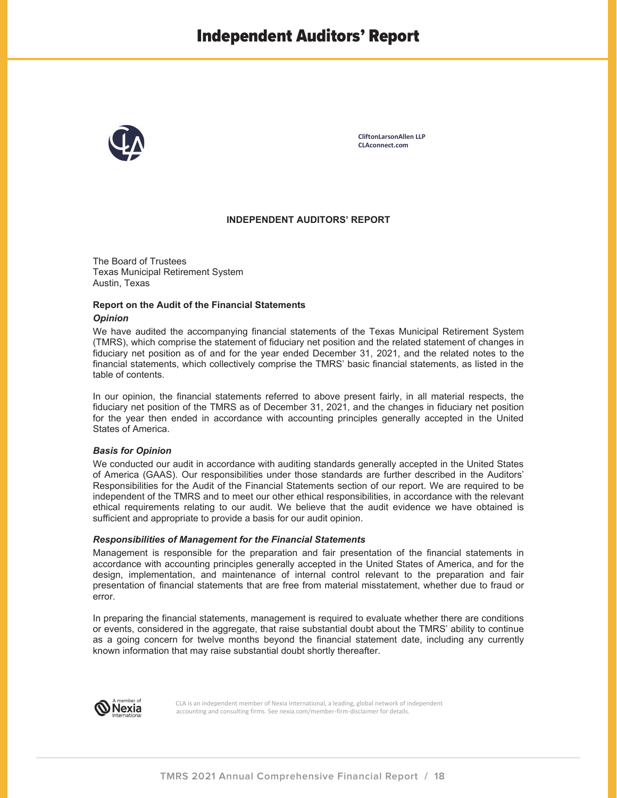

**CliftonLarsonAllen LLP CLAconnect.com** 

#### **INDEPENDENT AUDITORS' REPORT**

The Board of Trustees Texas Municipal Retirement System Austin, Texas

#### **Report on the Audit of the Financial Statements**  *Opinion*

We have audited the accompanying financial statements of the Texas Municipal Retirement System (TMRS), which comprise the statement of fiduciary net position and the related statement of changes in fiduciary net position as of and for the year ended December 31, 2021, and the related notes to the financial statements, which collectively comprise the TMRS' basic financial statements, as listed in the table of contents.

In our opinion, the financial statements referred to above present fairly, in all material respects, the fiduciary net position of the TMRS as of December 31, 2021, and the changes in fiduciary net position for the year then ended in accordance with accounting principles generally accepted in the United States of America.

#### *Basis for Opinion*

We conducted our audit in accordance with auditing standards generally accepted in the United States of America (GAAS). Our responsibilities under those standards are further described in the Auditors' Responsibilities for the Audit of the Financial Statements section of our report. We are required to be independent of the TMRS and to meet our other ethical responsibilities, in accordance with the relevant ethical requirements relating to our audit. We believe that the audit evidence we have obtained is sufficient and appropriate to provide a basis for our audit opinion.

#### *Responsibilities of Management for the Financial Statements*

Management is responsible for the preparation and fair presentation of the financial statements in accordance with accounting principles generally accepted in the United States of America, and for the design, implementation, and maintenance of internal control relevant to the preparation and fair presentation of financial statements that are free from material misstatement, whether due to fraud or error.

In preparing the financial statements, management is required to evaluate whether there are conditions or events, considered in the aggregate, that raise substantial doubt about the TMRS' ability to continue as a going concern for twelve months beyond the financial statement date, including any currently known information that may raise substantial doubt shortly thereafter.



 CLA is an independent member of Nexia International, a leading, global network of independent accounting and consulting firms. See nexia.com/member-firm-disclaimer for details.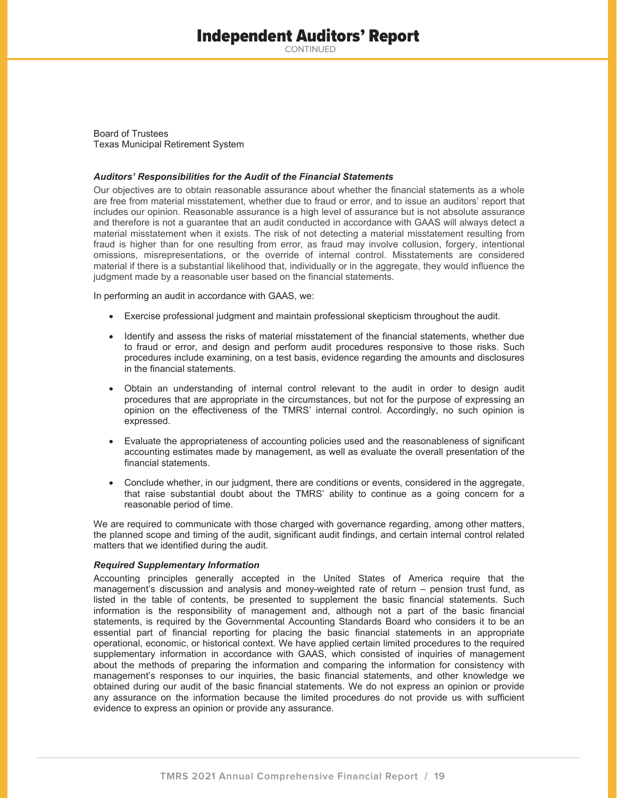# Independent Auditors' Report

CONTINUED

Board of Trustees Texas Municipal Retirement System

#### *Auditors' Responsibilities for the Audit of the Financial Statements*

Our objectives are to obtain reasonable assurance about whether the financial statements as a whole are free from material misstatement, whether due to fraud or error, and to issue an auditors' report that includes our opinion. Reasonable assurance is a high level of assurance but is not absolute assurance and therefore is not a guarantee that an audit conducted in accordance with GAAS will always detect a material misstatement when it exists. The risk of not detecting a material misstatement resulting from fraud is higher than for one resulting from error, as fraud may involve collusion, forgery, intentional omissions, misrepresentations, or the override of internal control. Misstatements are considered material if there is a substantial likelihood that, individually or in the aggregate, they would influence the judgment made by a reasonable user based on the financial statements.

In performing an audit in accordance with GAAS, we:

- Exercise professional judgment and maintain professional skepticism throughout the audit.
- Identify and assess the risks of material misstatement of the financial statements, whether due to fraud or error, and design and perform audit procedures responsive to those risks. Such procedures include examining, on a test basis, evidence regarding the amounts and disclosures in the financial statements.
- x Obtain an understanding of internal control relevant to the audit in order to design audit procedures that are appropriate in the circumstances, but not for the purpose of expressing an opinion on the effectiveness of the TMRS' internal control. Accordingly, no such opinion is expressed.
- Evaluate the appropriateness of accounting policies used and the reasonableness of significant accounting estimates made by management, as well as evaluate the overall presentation of the financial statements.
- Conclude whether, in our judgment, there are conditions or events, considered in the aggregate, that raise substantial doubt about the TMRS' ability to continue as a going concern for a reasonable period of time.

We are required to communicate with those charged with governance regarding, among other matters, the planned scope and timing of the audit, significant audit findings, and certain internal control related matters that we identified during the audit.

#### *Required Supplementary Information*

Accounting principles generally accepted in the United States of America require that the management's discussion and analysis and money-weighted rate of return – pension trust fund, as listed in the table of contents, be presented to supplement the basic financial statements. Such information is the responsibility of management and, although not a part of the basic financial statements, is required by the Governmental Accounting Standards Board who considers it to be an essential part of financial reporting for placing the basic financial statements in an appropriate operational, economic, or historical context. We have applied certain limited procedures to the required supplementary information in accordance with GAAS, which consisted of inquiries of management about the methods of preparing the information and comparing the information for consistency with management's responses to our inquiries, the basic financial statements, and other knowledge we obtained during our audit of the basic financial statements. We do not express an opinion or provide any assurance on the information because the limited procedures do not provide us with sufficient evidence to express an opinion or provide any assurance.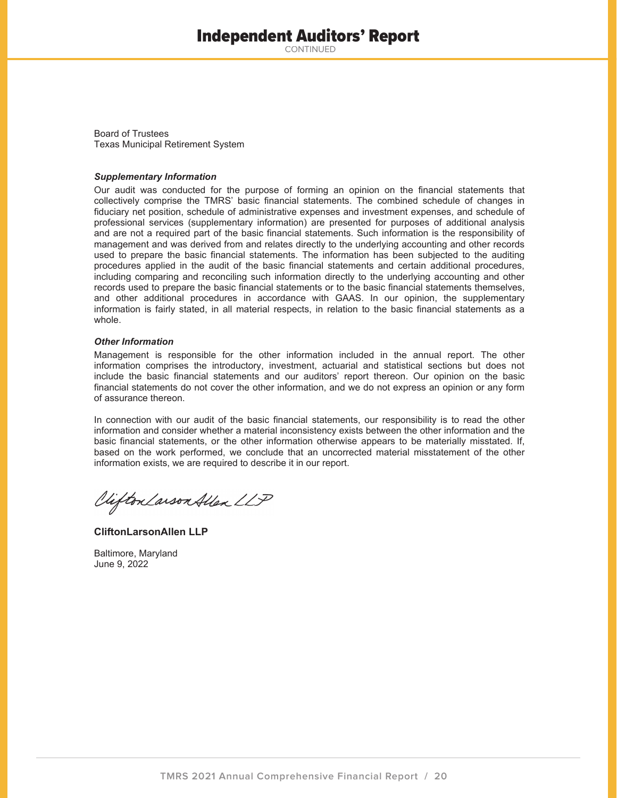# Independent Auditors' Report

CONTINUED

Board of Trustees Texas Municipal Retirement System

#### *Supplementary Information*

Our audit was conducted for the purpose of forming an opinion on the financial statements that collectively comprise the TMRS' basic financial statements. The combined schedule of changes in fiduciary net position, schedule of administrative expenses and investment expenses, and schedule of professional services (supplementary information) are presented for purposes of additional analysis and are not a required part of the basic financial statements. Such information is the responsibility of management and was derived from and relates directly to the underlying accounting and other records used to prepare the basic financial statements. The information has been subjected to the auditing procedures applied in the audit of the basic financial statements and certain additional procedures, including comparing and reconciling such information directly to the underlying accounting and other records used to prepare the basic financial statements or to the basic financial statements themselves, and other additional procedures in accordance with GAAS. In our opinion, the supplementary information is fairly stated, in all material respects, in relation to the basic financial statements as a whole.

#### *Other Information*

Management is responsible for the other information included in the annual report. The other information comprises the introductory, investment, actuarial and statistical sections but does not include the basic financial statements and our auditors' report thereon. Our opinion on the basic financial statements do not cover the other information, and we do not express an opinion or any form of assurance thereon.

In connection with our audit of the basic financial statements, our responsibility is to read the other information and consider whether a material inconsistency exists between the other information and the basic financial statements, or the other information otherwise appears to be materially misstated. If, based on the work performed, we conclude that an uncorrected material misstatement of the other information exists, we are required to describe it in our report.

Viifton Larson Allen LLP

**CliftonLarsonAllen LLP** 

Baltimore, Maryland June 9, 2022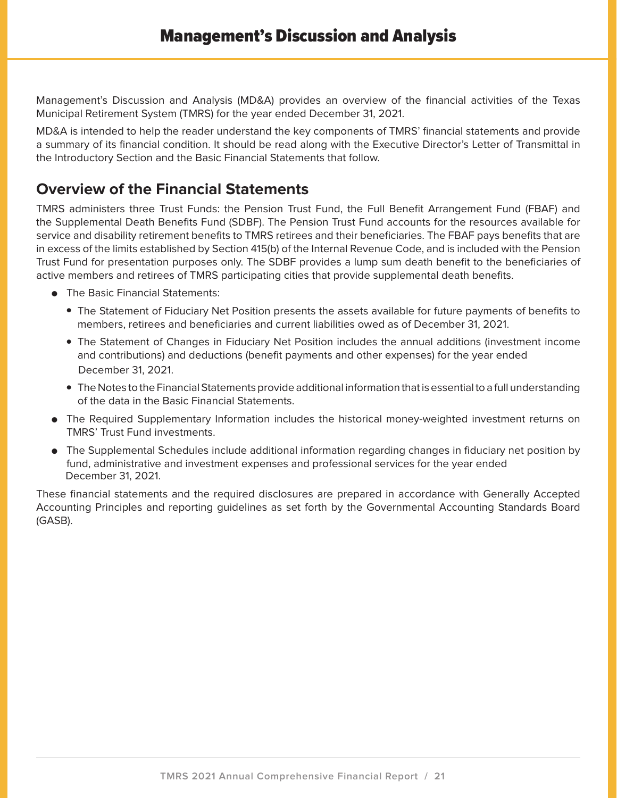Management's Discussion and Analysis (MD&A) provides an overview of the financial activities of the Texas Municipal Retirement System (TMRS) for the year ended December 31, 2021.

MD&A is intended to help the reader understand the key components of TMRS' financial statements and provide a summary of its financial condition. It should be read along with the Executive Director's Letter of Transmittal in the Introductory Section and the Basic Financial Statements that follow.

# **Overview of the Financial Statements**

TMRS administers three Trust Funds: the Pension Trust Fund, the Full Benefit Arrangement Fund (FBAF) and the Supplemental Death Benefits Fund (SDBF). The Pension Trust Fund accounts for the resources available for service and disability retirement benefits to TMRS retirees and their beneficiaries. The FBAF pays benefits that are in excess of the limits established by Section 415(b) of the Internal Revenue Code, and is included with the Pension Trust Fund for presentation purposes only. The SDBF provides a lump sum death benefit to the beneficiaries of active members and retirees of TMRS participating cities that provide supplemental death benefits.

- **•** The Basic Financial Statements:
	- The Statement of Fiduciary Net Position presents the assets available for future payments of benefits to members, retirees and beneficiaries and current liabilities owed as of December 31, 2021.
	- The Statement of Changes in Fiduciary Net Position includes the annual additions (investment income and contributions) and deductions (benefit payments and other expenses) for the year ended December 31, 2021.
	- The Notes to the Financial Statements provide additional information that is essential to a full understanding of the data in the Basic Financial Statements.
- The Required Supplementary Information includes the historical money-weighted investment returns on TMRS' Trust Fund investments.
- The Supplemental Schedules include additional information regarding changes in fiduciary net position by fund, administrative and investment expenses and professional services for the year ended December 31, 2021.

These financial statements and the required disclosures are prepared in accordance with Generally Accepted Accounting Principles and reporting guidelines as set forth by the Governmental Accounting Standards Board (GASB).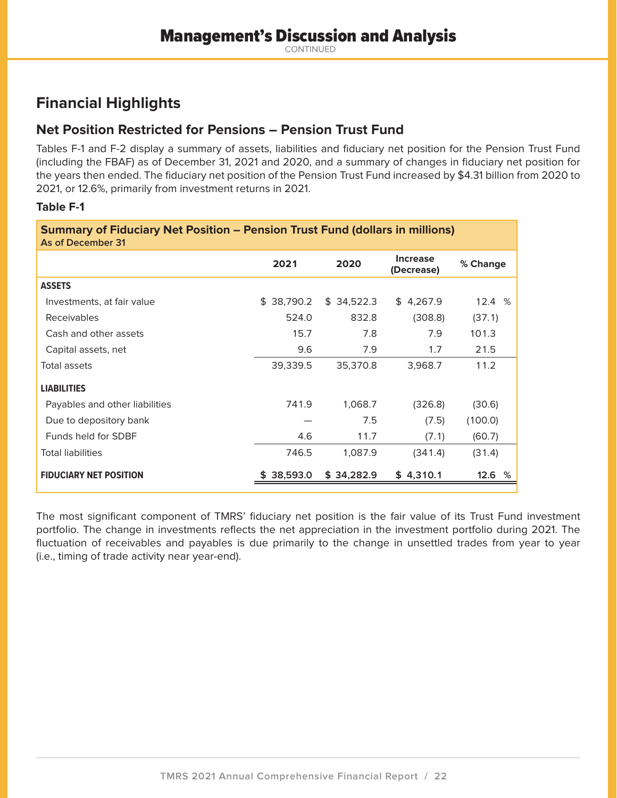# **Financial Highlights**

# **Net Position Restricted for Pensions – Pension Trust Fund**

Tables F-1 and F-2 display a summary of assets, liabilities and fiduciary net position for the Pension Trust Fund (including the FBAF) as of December 31, 2021 and 2020, and a summary of changes in fiduciary net position for the years then ended. The fiduciary net position of the Pension Trust Fund increased by \$4.31 billion from 2020 to 2021, or 12.6%, primarily from investment returns in 2021.

## **Table F-1**

| <b>Summary of Fiduciary Net Position – Pension Trust Fund (dollars in millions)</b><br>As of December 31 |            |            |                               |          |  |  |  |  |  |  |
|----------------------------------------------------------------------------------------------------------|------------|------------|-------------------------------|----------|--|--|--|--|--|--|
|                                                                                                          | 2021       | 2020       | <b>Increase</b><br>(Decrease) | % Change |  |  |  |  |  |  |
| <b>ASSETS</b>                                                                                            |            |            |                               |          |  |  |  |  |  |  |
| Investments, at fair value                                                                               | \$38,790.2 | \$34,522.3 | \$4,267.9                     | 12.4%    |  |  |  |  |  |  |
| Receivables                                                                                              | 524.0      | 832.8      | (308.8)                       | (37.1)   |  |  |  |  |  |  |
| Cash and other assets                                                                                    | 15.7       | 7.8        | 7.9                           | 101.3    |  |  |  |  |  |  |
| Capital assets, net                                                                                      | 9.6        | 7.9        | 1.7                           | 21.5     |  |  |  |  |  |  |
| Total assets                                                                                             | 39,339.5   | 35,370.8   | 3,968.7                       | 11.2     |  |  |  |  |  |  |
| <b>LIABILITIES</b>                                                                                       |            |            |                               |          |  |  |  |  |  |  |
| Payables and other liabilities                                                                           | 741.9      | 1,068.7    | (326.8)                       | (30.6)   |  |  |  |  |  |  |
| Due to depository bank                                                                                   |            | 7.5        | (7.5)                         | (100.0)  |  |  |  |  |  |  |
| Funds held for SDBF                                                                                      | 4.6        | 11.7       | (7.1)                         | (60.7)   |  |  |  |  |  |  |
| <b>Total liabilities</b>                                                                                 | 746.5      | 1,087.9    | (341.4)                       | (31.4)   |  |  |  |  |  |  |
| <b>FIDUCIARY NET POSITION</b>                                                                            | 38,593.0   | \$34,282.9 | \$4,310.1                     | 12.6 %   |  |  |  |  |  |  |

The most significant component of TMRS' fiduciary net position is the fair value of its Trust Fund investment portfolio. The change in investments reflects the net appreciation in the investment portfolio during 2021. The fluctuation of receivables and payables is due primarily to the change in unsettled trades from year to year (i.e., timing of trade activity near year-end).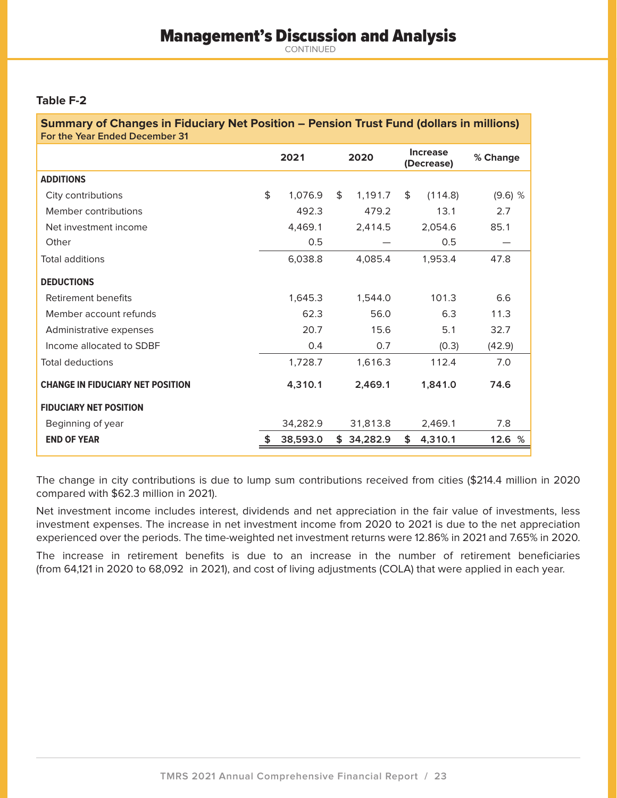### **Table F-2**

| <b>Summary of Changes in Fiduciary Net Position – Pension Trust Fund (dollars in millions)</b><br>For the Year Ended December 31 |      |          |      |            |    |                               |                                 |  |  |
|----------------------------------------------------------------------------------------------------------------------------------|------|----------|------|------------|----|-------------------------------|---------------------------------|--|--|
|                                                                                                                                  | 2021 |          | 2020 |            |    | <b>Increase</b><br>(Decrease) | % Change                        |  |  |
| <b>ADDITIONS</b>                                                                                                                 |      |          |      |            |    |                               |                                 |  |  |
| City contributions                                                                                                               | \$   | 1,076.9  | \$   | 1,191.7    | \$ | (114.8)                       | $(9.6)$ %                       |  |  |
| Member contributions                                                                                                             |      | 492.3    |      | 479.2      |    | 13.1                          | 2.7                             |  |  |
| Net investment income                                                                                                            |      | 4,469.1  |      | 2,414.5    |    | 2,054.6                       | 85.1                            |  |  |
| Other                                                                                                                            |      | 0.5      |      |            |    | 0.5                           | $\hspace{0.1mm}-\hspace{0.1mm}$ |  |  |
| Total additions                                                                                                                  |      | 6,038.8  |      | 4.085.4    |    | 1,953.4                       | 47.8                            |  |  |
| <b>DEDUCTIONS</b>                                                                                                                |      |          |      |            |    |                               |                                 |  |  |
| Retirement benefits                                                                                                              |      | 1,645.3  |      | 1,544.0    |    | 101.3                         | 6.6                             |  |  |
| Member account refunds                                                                                                           |      | 62.3     |      | 56.0       |    | 6.3                           | 11.3                            |  |  |
| Administrative expenses                                                                                                          |      | 20.7     |      | 15.6       |    | 5.1                           | 32.7                            |  |  |
| Income allocated to SDBF                                                                                                         |      | 0.4      |      | 0.7        |    | (0.3)                         | (42.9)                          |  |  |
| <b>Total deductions</b>                                                                                                          |      | 1,728.7  |      | 1,616.3    |    | 112.4                         | 7.0                             |  |  |
| <b>CHANGE IN FIDUCIARY NET POSITION</b>                                                                                          |      | 4,310.1  |      | 2,469.1    |    | 1,841.0                       | 74.6                            |  |  |
| <b>FIDUCIARY NET POSITION</b>                                                                                                    |      |          |      |            |    |                               |                                 |  |  |
| Beginning of year                                                                                                                |      | 34,282.9 |      | 31,813.8   |    | 2,469.1                       | 7.8                             |  |  |
| <b>END OF YEAR</b>                                                                                                               |      | 38,593.0 |      | \$34,282.9 | \$ | 4,310.1                       | 12.6 %                          |  |  |

The change in city contributions is due to lump sum contributions received from cities (\$214.4 million in 2020 compared with \$62.3 million in 2021).

Net investment income includes interest, dividends and net appreciation in the fair value of investments, less investment expenses. The increase in net investment income from 2020 to 2021 is due to the net appreciation experienced over the periods. The time-weighted net investment returns were 12.86% in 2021 and 7.65% in 2020.

The increase in retirement benefits is due to an increase in the number of retirement beneficiaries (from 64,121 in 2020 to 68,092 in 2021), and cost of living adjustments (COLA) that were applied in each year.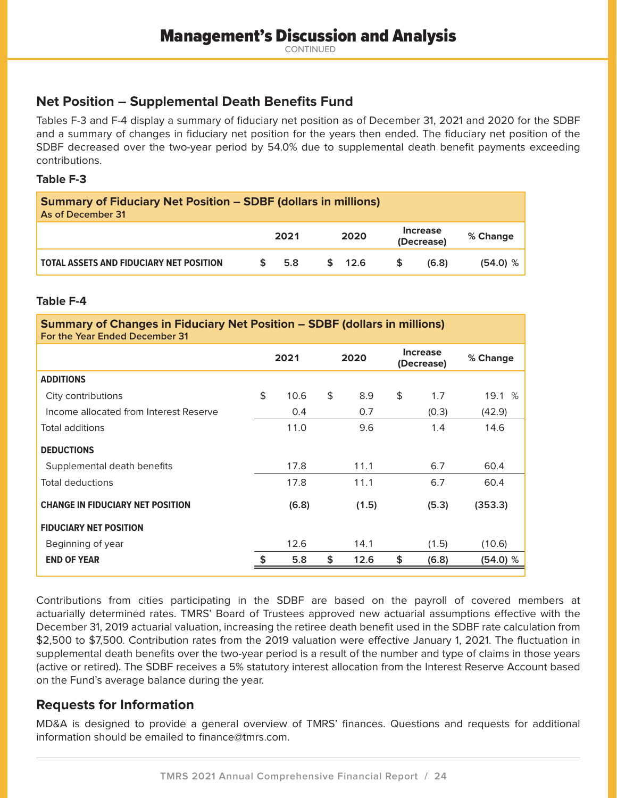# **Net Position – Supplemental Death Benefits Fund**

Tables F-3 and F-4 display a summary of fiduciary net position as of December 31, 2021 and 2020 for the SDBF and a summary of changes in fiduciary net position for the years then ended. The fiduciary net position of the SDBF decreased over the two-year period by 54.0% due to supplemental death benefit payments exceeding contributions.

### **Table F-3**

| <b>Summary of Fiduciary Net Position - SDBF (dollars in millions)</b><br>As of December 31 |  |      |  |        |  |                               |          |  |
|--------------------------------------------------------------------------------------------|--|------|--|--------|--|-------------------------------|----------|--|
|                                                                                            |  | 2021 |  | 2020   |  | <b>Increase</b><br>(Decrease) | % Change |  |
| <b>TOTAL ASSETS AND FIDUCIARY NET POSITION</b>                                             |  | 5.8  |  | \$12.6 |  | (6.8)                         | (54.0) % |  |

### **Table F-4**

| <b>Summary of Changes in Fiduciary Net Position - SDBF (dollars in millions)</b><br>For the Year Ended December 31 |      |       |      |       |    |                               |          |  |  |
|--------------------------------------------------------------------------------------------------------------------|------|-------|------|-------|----|-------------------------------|----------|--|--|
|                                                                                                                    | 2021 |       | 2020 |       |    | <b>Increase</b><br>(Decrease) | % Change |  |  |
| <b>ADDITIONS</b>                                                                                                   |      |       |      |       |    |                               |          |  |  |
| City contributions                                                                                                 | \$   | 10.6  | \$   | 8.9   | \$ | 1.7                           | 19.1 %   |  |  |
| Income allocated from Interest Reserve                                                                             |      | 0.4   |      | 0.7   |    | (0.3)                         | (42.9)   |  |  |
| <b>Total additions</b>                                                                                             |      | 11.0  |      | 9.6   |    | 1.4                           | 14.6     |  |  |
| <b>DEDUCTIONS</b>                                                                                                  |      |       |      |       |    |                               |          |  |  |
| Supplemental death benefits                                                                                        |      | 17.8  |      | 11.1  |    | 6.7                           | 60.4     |  |  |
| <b>Total deductions</b>                                                                                            |      | 17.8  |      | 11.1  |    | 6.7                           | 60.4     |  |  |
| <b>CHANGE IN FIDUCIARY NET POSITION</b>                                                                            |      | (6.8) |      | (1.5) |    | (5.3)                         | (353.3)  |  |  |
| <b>FIDUCIARY NET POSITION</b>                                                                                      |      |       |      |       |    |                               |          |  |  |
| Beginning of year                                                                                                  |      | 12.6  |      | 14.1  |    | (1.5)                         | (10.6)   |  |  |
| <b>END OF YEAR</b>                                                                                                 | \$   | 5.8   | \$   | 12.6  | \$ | (6.8)                         | (54.0) % |  |  |

Contributions from cities participating in the SDBF are based on the payroll of covered members at actuarially determined rates. TMRS' Board of Trustees approved new actuarial assumptions effective with the December 31, 2019 actuarial valuation, increasing the retiree death benefit used in the SDBF rate calculation from \$2,500 to \$7,500. Contribution rates from the 2019 valuation were effective January 1, 2021. The fluctuation in supplemental death benefits over the two-year period is a result of the number and type of claims in those years (active or retired). The SDBF receives a 5% statutory interest allocation from the Interest Reserve Account based on the Fund's average balance during the year.

## **Requests for Information**

MD&A is designed to provide a general overview of TMRS' finances. Questions and requests for additional information should be emailed to finance@tmrs.com.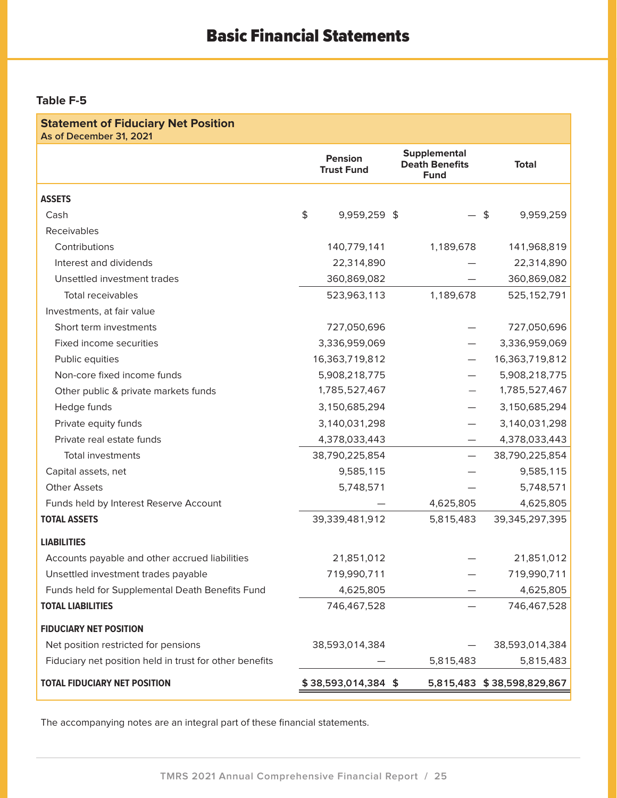## **Table F-5**

| <b>Statement of Fiduciary Net Position</b><br>As of December 31, 2021 |                                     |                                                             |                            |
|-----------------------------------------------------------------------|-------------------------------------|-------------------------------------------------------------|----------------------------|
|                                                                       | <b>Pension</b><br><b>Trust Fund</b> | <b>Supplemental</b><br><b>Death Benefits</b><br><b>Fund</b> | <b>Total</b>               |
| <b>ASSETS</b>                                                         |                                     |                                                             |                            |
| Cash                                                                  | \$<br>9,959,259 \$                  |                                                             | \$<br>9,959,259            |
| Receivables                                                           |                                     |                                                             |                            |
| Contributions                                                         | 140,779,141                         | 1,189,678                                                   | 141,968,819                |
| Interest and dividends                                                | 22,314,890                          |                                                             | 22,314,890                 |
| Unsettled investment trades                                           | 360,869,082                         |                                                             | 360,869,082                |
| <b>Total receivables</b>                                              | 523,963,113                         | 1,189,678                                                   | 525, 152, 791              |
| Investments, at fair value                                            |                                     |                                                             |                            |
| Short term investments                                                | 727,050,696                         |                                                             | 727,050,696                |
| Fixed income securities                                               | 3,336,959,069                       |                                                             | 3,336,959,069              |
| Public equities                                                       | 16,363,719,812                      |                                                             | 16,363,719,812             |
| Non-core fixed income funds                                           | 5,908,218,775                       |                                                             | 5,908,218,775              |
| Other public & private markets funds                                  | 1,785,527,467                       |                                                             | 1,785,527,467              |
| Hedge funds                                                           | 3,150,685,294                       |                                                             | 3,150,685,294              |
| Private equity funds                                                  | 3,140,031,298                       |                                                             | 3,140,031,298              |
| Private real estate funds                                             | 4,378,033,443                       |                                                             | 4,378,033,443              |
| <b>Total investments</b>                                              | 38,790,225,854                      |                                                             | 38,790,225,854             |
| Capital assets, net                                                   | 9,585,115                           |                                                             | 9,585,115                  |
| <b>Other Assets</b>                                                   | 5,748,571                           |                                                             | 5,748,571                  |
| Funds held by Interest Reserve Account                                |                                     | 4,625,805                                                   | 4,625,805                  |
| <b>TOTAL ASSETS</b>                                                   | 39,339,481,912                      | 5,815,483                                                   | 39,345,297,395             |
| <b>LIABILITIES</b>                                                    |                                     |                                                             |                            |
| Accounts payable and other accrued liabilities                        | 21,851,012                          |                                                             | 21,851,012                 |
| Unsettled investment trades payable                                   | 719,990,711                         |                                                             | 719,990,711                |
| Funds held for Supplemental Death Benefits Fund                       | 4,625,805                           |                                                             | 4,625,805                  |
| <b>TOTAL LIABILITIES</b>                                              | 746,467,528                         |                                                             | 746,467,528                |
| <b>FIDUCIARY NET POSITION</b>                                         |                                     |                                                             |                            |
| Net position restricted for pensions                                  | 38,593,014,384                      |                                                             | 38,593,014,384             |
| Fiduciary net position held in trust for other benefits               |                                     | 5,815,483                                                   | 5,815,483                  |
| <b>TOTAL FIDUCIARY NET POSITION</b>                                   | \$38,593,014,384 \$                 |                                                             | 5,815,483 \$38,598,829,867 |

The accompanying notes are an integral part of these financial statements.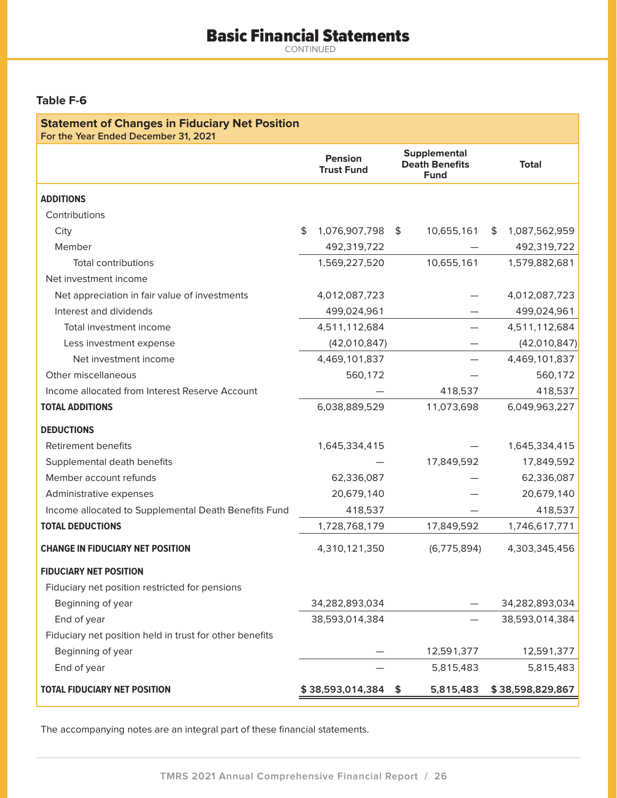# Basic Financial Statements

CONTINUED

## **Table F-6**

| <b>Statement of Changes in Fiduciary Net Position</b><br>For the Year Ended December 31, 2021 |                                     |     |                                                             |    |                  |
|-----------------------------------------------------------------------------------------------|-------------------------------------|-----|-------------------------------------------------------------|----|------------------|
|                                                                                               | <b>Pension</b><br><b>Trust Fund</b> |     | <b>Supplemental</b><br><b>Death Benefits</b><br><b>Fund</b> |    | <b>Total</b>     |
| <b>ADDITIONS</b>                                                                              |                                     |     |                                                             |    |                  |
| Contributions                                                                                 |                                     |     |                                                             |    |                  |
| City                                                                                          | \$<br>1,076,907,798                 | \$  | 10,655,161                                                  | S. | 1,087,562,959    |
| Member                                                                                        | 492,319,722                         |     |                                                             |    | 492,319,722      |
| <b>Total contributions</b>                                                                    | 1,569,227,520                       |     | 10,655,161                                                  |    | 1,579,882,681    |
| Net investment income                                                                         |                                     |     |                                                             |    |                  |
| Net appreciation in fair value of investments                                                 | 4,012,087,723                       |     |                                                             |    | 4,012,087,723    |
| Interest and dividends                                                                        | 499,024,961                         |     |                                                             |    | 499,024,961      |
| Total investment income                                                                       | 4,511,112,684                       |     |                                                             |    | 4,511,112,684    |
| Less investment expense                                                                       | (42,010,847)                        |     |                                                             |    | (42,010,847)     |
| Net investment income                                                                         | 4,469,101,837                       |     |                                                             |    | 4,469,101,837    |
| Other miscellaneous                                                                           | 560,172                             |     |                                                             |    | 560,172          |
| Income allocated from Interest Reserve Account                                                |                                     |     | 418,537                                                     |    | 418,537          |
| <b>TOTAL ADDITIONS</b>                                                                        | 6,038,889,529                       |     | 11,073,698                                                  |    | 6,049,963,227    |
| <b>DEDUCTIONS</b>                                                                             |                                     |     |                                                             |    |                  |
| <b>Retirement benefits</b>                                                                    | 1,645,334,415                       |     |                                                             |    | 1,645,334,415    |
| Supplemental death benefits                                                                   |                                     |     | 17,849,592                                                  |    | 17,849,592       |
| Member account refunds                                                                        | 62,336,087                          |     |                                                             |    | 62,336,087       |
| Administrative expenses                                                                       | 20,679,140                          |     |                                                             |    | 20,679,140       |
| Income allocated to Supplemental Death Benefits Fund                                          | 418,537                             |     |                                                             |    | 418,537          |
| <b>TOTAL DEDUCTIONS</b>                                                                       | 1,728,768,179                       |     | 17,849,592                                                  |    | 1,746,617,771    |
| <b>CHANGE IN FIDUCIARY NET POSITION</b>                                                       | 4,310,121,350                       |     | (6,775,894)                                                 |    | 4,303,345,456    |
| <b>FIDUCIARY NET POSITION</b>                                                                 |                                     |     |                                                             |    |                  |
| Fiduciary net position restricted for pensions                                                |                                     |     |                                                             |    |                  |
| Beginning of year                                                                             | 34,282,893,034                      |     |                                                             |    | 34,282,893,034   |
| End of year                                                                                   | 38,593,014,384                      |     |                                                             |    | 38,593,014,384   |
| Fiduciary net position held in trust for other benefits                                       |                                     |     |                                                             |    |                  |
| Beginning of year                                                                             |                                     |     | 12,591,377                                                  |    | 12,591,377       |
| End of year                                                                                   |                                     |     | 5,815,483                                                   |    | 5,815,483        |
| <b>TOTAL FIDUCIARY NET POSITION</b>                                                           | \$38,593,014,384                    | -\$ | 5,815,483                                                   |    | \$38,598,829,867 |

The accompanying notes are an integral part of these financial statements.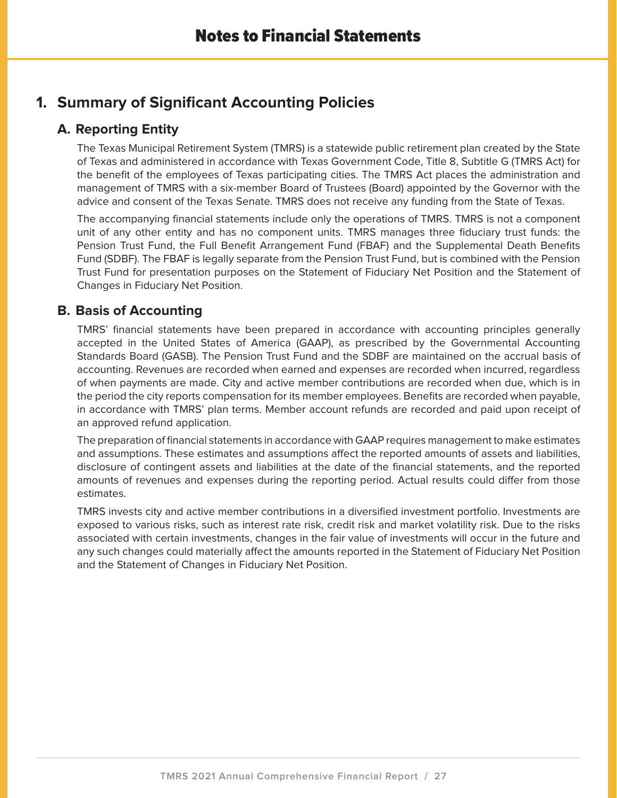# **1. Summary of Significant Accounting Policies**

# **A. Reporting Entity**

The Texas Municipal Retirement System (TMRS) is a statewide public retirement plan created by the State of Texas and administered in accordance with Texas Government Code, Title 8, Subtitle G (TMRS Act) for the benefit of the employees of Texas participating cities. The TMRS Act places the administration and management of TMRS with a six-member Board of Trustees (Board) appointed by the Governor with the advice and consent of the Texas Senate. TMRS does not receive any funding from the State of Texas.

The accompanying financial statements include only the operations of TMRS. TMRS is not a component unit of any other entity and has no component units. TMRS manages three fiduciary trust funds: the Pension Trust Fund, the Full Benefit Arrangement Fund (FBAF) and the Supplemental Death Benefits Fund (SDBF). The FBAF is legally separate from the Pension Trust Fund, but is combined with the Pension Trust Fund for presentation purposes on the Statement of Fiduciary Net Position and the Statement of Changes in Fiduciary Net Position.

# **B. Basis of Accounting**

TMRS' financial statements have been prepared in accordance with accounting principles generally accepted in the United States of America (GAAP), as prescribed by the Governmental Accounting Standards Board (GASB). The Pension Trust Fund and the SDBF are maintained on the accrual basis of accounting. Revenues are recorded when earned and expenses are recorded when incurred, regardless of when payments are made. City and active member contributions are recorded when due, which is in the period the city reports compensation for its member employees. Benefits are recorded when payable, in accordance with TMRS' plan terms. Member account refunds are recorded and paid upon receipt of an approved refund application.

The preparation of financial statements in accordance with GAAP requires management to make estimates and assumptions. These estimates and assumptions affect the reported amounts of assets and liabilities, disclosure of contingent assets and liabilities at the date of the financial statements, and the reported amounts of revenues and expenses during the reporting period. Actual results could differ from those estimates.

TMRS invests city and active member contributions in a diversified investment portfolio. Investments are exposed to various risks, such as interest rate risk, credit risk and market volatility risk. Due to the risks associated with certain investments, changes in the fair value of investments will occur in the future and any such changes could materially affect the amounts reported in the Statement of Fiduciary Net Position and the Statement of Changes in Fiduciary Net Position.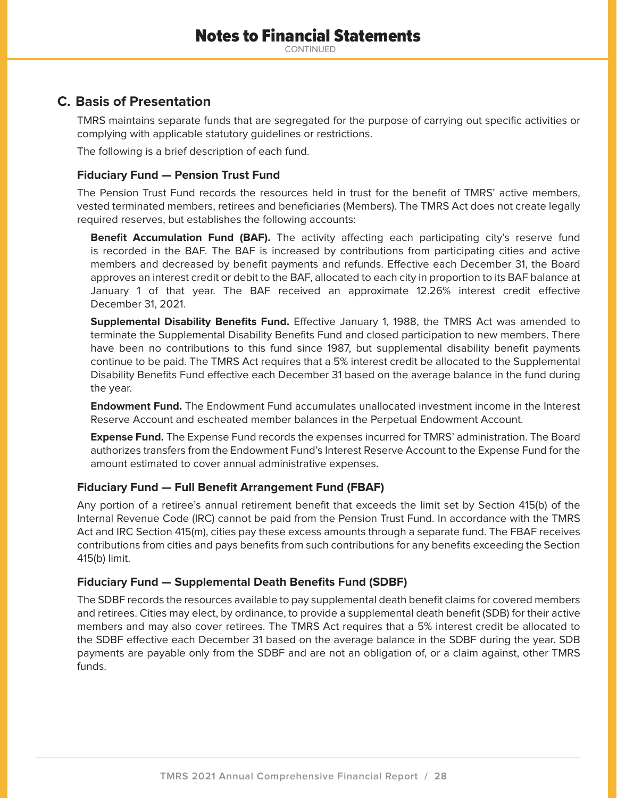# **C. Basis of Presentation**

TMRS maintains separate funds that are segregated for the purpose of carrying out specific activities or complying with applicable statutory guidelines or restrictions.

The following is a brief description of each fund.

### **Fiduciary Fund — Pension Trust Fund**

The Pension Trust Fund records the resources held in trust for the benefit of TMRS' active members, vested terminated members, retirees and beneficiaries (Members). The TMRS Act does not create legally required reserves, but establishes the following accounts:

**Benefit Accumulation Fund (BAF).** The activity affecting each participating city's reserve fund is recorded in the BAF. The BAF is increased by contributions from participating cities and active members and decreased by benefit payments and refunds. Effective each December 31, the Board approves an interest credit or debit to the BAF, allocated to each city in proportion to its BAF balance at January 1 of that year. The BAF received an approximate 12.26% interest credit effective December 31, 2021.

**Supplemental Disability Benefits Fund.** Effective January 1, 1988, the TMRS Act was amended to terminate the Supplemental Disability Benefits Fund and closed participation to new members. There have been no contributions to this fund since 1987, but supplemental disability benefit payments continue to be paid. The TMRS Act requires that a 5% interest credit be allocated to the Supplemental Disability Benefits Fund effective each December 31 based on the average balance in the fund during the year.

**Endowment Fund.** The Endowment Fund accumulates unallocated investment income in the Interest Reserve Account and escheated member balances in the Perpetual Endowment Account.

**Expense Fund.** The Expense Fund records the expenses incurred for TMRS' administration. The Board authorizes transfers from the Endowment Fund's Interest Reserve Account to the Expense Fund for the amount estimated to cover annual administrative expenses.

## **Fiduciary Fund — Full Benefit Arrangement Fund (FBAF)**

Any portion of a retiree's annual retirement benefit that exceeds the limit set by Section 415(b) of the Internal Revenue Code (IRC) cannot be paid from the Pension Trust Fund. In accordance with the TMRS Act and IRC Section 415(m), cities pay these excess amounts through a separate fund. The FBAF receives contributions from cities and pays benefits from such contributions for any benefits exceeding the Section 415(b) limit.

## **Fiduciary Fund — Supplemental Death Benefits Fund (SDBF)**

The SDBF records the resources available to pay supplemental death benefit claims for covered members and retirees. Cities may elect, by ordinance, to provide a supplemental death benefit (SDB) for their active members and may also cover retirees. The TMRS Act requires that a 5% interest credit be allocated to the SDBF effective each December 31 based on the average balance in the SDBF during the year. SDB payments are payable only from the SDBF and are not an obligation of, or a claim against, other TMRS funds.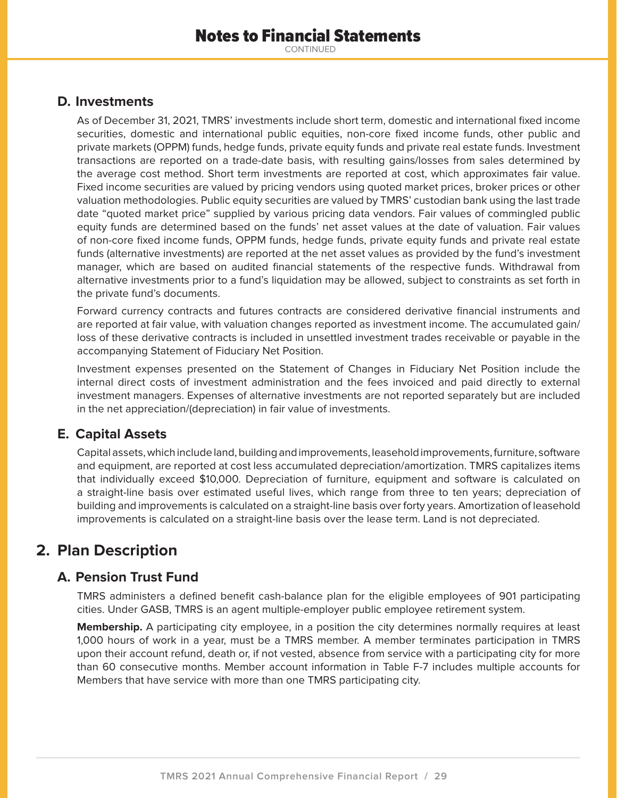## **D. Investments**

As of December 31, 2021, TMRS' investments include short term, domestic and international fixed income securities, domestic and international public equities, non-core fixed income funds, other public and private markets (OPPM) funds, hedge funds, private equity funds and private real estate funds. Investment transactions are reported on a trade-date basis, with resulting gains/losses from sales determined by the average cost method. Short term investments are reported at cost, which approximates fair value. Fixed income securities are valued by pricing vendors using quoted market prices, broker prices or other valuation methodologies. Public equity securities are valued by TMRS' custodian bank using the last trade date "quoted market price" supplied by various pricing data vendors. Fair values of commingled public equity funds are determined based on the funds' net asset values at the date of valuation. Fair values of non-core fixed income funds, OPPM funds, hedge funds, private equity funds and private real estate funds (alternative investments) are reported at the net asset values as provided by the fund's investment manager, which are based on audited financial statements of the respective funds. Withdrawal from alternative investments prior to a fund's liquidation may be allowed, subject to constraints as set forth in the private fund's documents.

Forward currency contracts and futures contracts are considered derivative financial instruments and are reported at fair value, with valuation changes reported as investment income. The accumulated gain/ loss of these derivative contracts is included in unsettled investment trades receivable or payable in the accompanying Statement of Fiduciary Net Position.

Investment expenses presented on the Statement of Changes in Fiduciary Net Position include the internal direct costs of investment administration and the fees invoiced and paid directly to external investment managers. Expenses of alternative investments are not reported separately but are included in the net appreciation/(depreciation) in fair value of investments.

# **E. Capital Assets**

Capital assets, which include land, building and improvements, leasehold improvements, furniture, software and equipment, are reported at cost less accumulated depreciation/amortization. TMRS capitalizes items that individually exceed \$10,000. Depreciation of furniture, equipment and software is calculated on a straight-line basis over estimated useful lives, which range from three to ten years; depreciation of building and improvements is calculated on a straight-line basis over forty years. Amortization of leasehold improvements is calculated on a straight-line basis over the lease term. Land is not depreciated.

# **2. Plan Description**

# **A. Pension Trust Fund**

TMRS administers a defined benefit cash-balance plan for the eligible employees of 901 participating cities. Under GASB, TMRS is an agent multiple-employer public employee retirement system.

**Membership.** A participating city employee, in a position the city determines normally requires at least 1,000 hours of work in a year, must be a TMRS member. A member terminates participation in TMRS upon their account refund, death or, if not vested, absence from service with a participating city for more than 60 consecutive months. Member account information in Table F-7 includes multiple accounts for Members that have service with more than one TMRS participating city.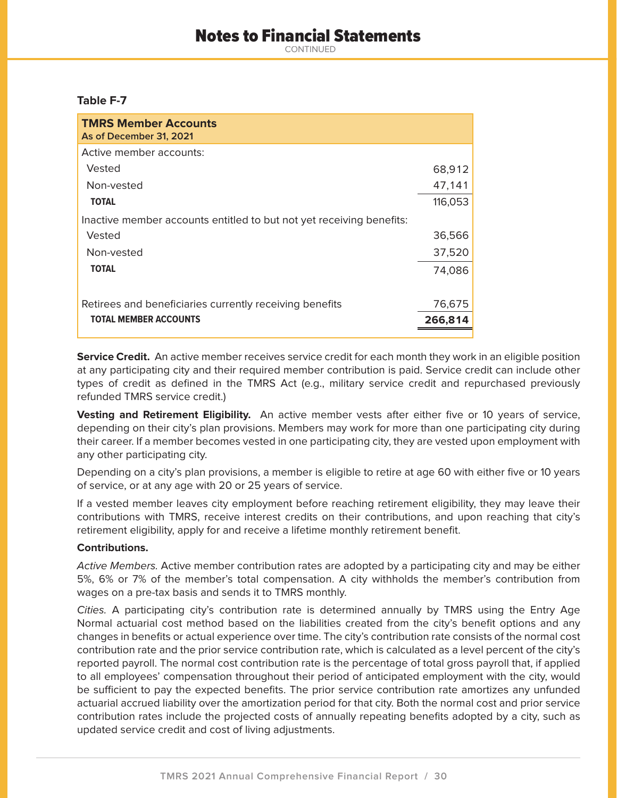# Notes to Financial Statements

CONTINUED

#### **Table F-7**

| <b>TMRS Member Accounts</b><br>As of December 31, 2021               |         |
|----------------------------------------------------------------------|---------|
| Active member accounts:                                              |         |
| Vested                                                               | 68,912  |
| Non-vested                                                           | 47,141  |
| <b>TOTAL</b>                                                         | 116,053 |
| Inactive member accounts entitled to but not yet receiving benefits: |         |
| Vested                                                               | 36,566  |
| Non-vested                                                           | 37,520  |
| <b>TOTAL</b>                                                         | 74,086  |
|                                                                      |         |
| Retirees and beneficiaries currently receiving benefits              | 76,675  |
| <b>TOTAL MEMBER ACCOUNTS</b>                                         | 266,814 |

**Service Credit.** An active member receives service credit for each month they work in an eligible position at any participating city and their required member contribution is paid. Service credit can include other types of credit as defined in the TMRS Act (e.g., military service credit and repurchased previously refunded TMRS service credit.)

**Vesting and Retirement Eligibility.** An active member vests after either five or 10 years of service, depending on their city's plan provisions. Members may work for more than one participating city during their career. If a member becomes vested in one participating city, they are vested upon employment with any other participating city.

Depending on a city's plan provisions, a member is eligible to retire at age 60 with either five or 10 years of service, or at any age with 20 or 25 years of service.

If a vested member leaves city employment before reaching retirement eligibility, they may leave their contributions with TMRS, receive interest credits on their contributions, and upon reaching that city's retirement eligibility, apply for and receive a lifetime monthly retirement benefit.

#### **Contributions.**

Active Members. Active member contribution rates are adopted by a participating city and may be either 5%, 6% or 7% of the member's total compensation. A city withholds the member's contribution from wages on a pre-tax basis and sends it to TMRS monthly.

Cities. A participating city's contribution rate is determined annually by TMRS using the Entry Age Normal actuarial cost method based on the liabilities created from the city's benefit options and any changes in benefits or actual experience over time. The city's contribution rate consists of the normal cost contribution rate and the prior service contribution rate, which is calculated as a level percent of the city's reported payroll. The normal cost contribution rate is the percentage of total gross payroll that, if applied to all employees' compensation throughout their period of anticipated employment with the city, would be sufficient to pay the expected benefits. The prior service contribution rate amortizes any unfunded actuarial accrued liability over the amortization period for that city. Both the normal cost and prior service contribution rates include the projected costs of annually repeating benefits adopted by a city, such as updated service credit and cost of living adjustments.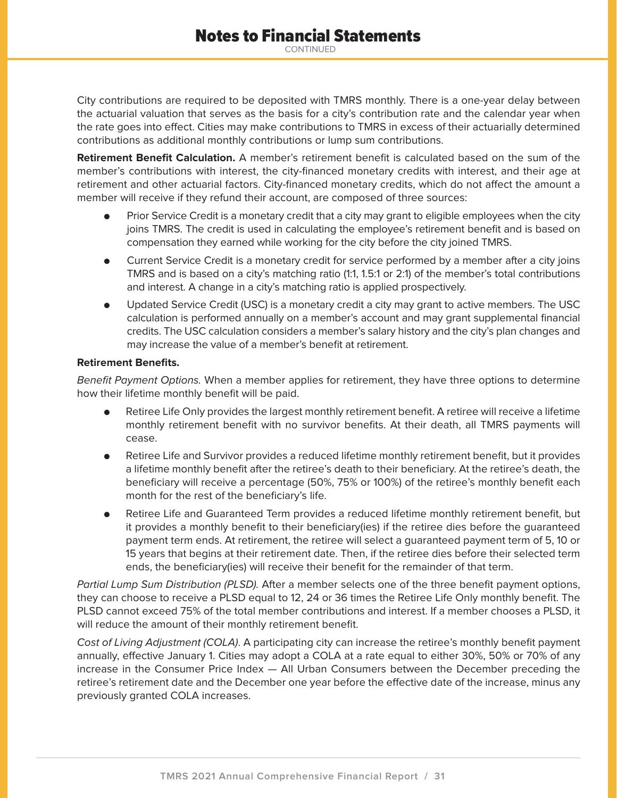City contributions are required to be deposited with TMRS monthly. There is a one-year delay between the actuarial valuation that serves as the basis for a city's contribution rate and the calendar year when the rate goes into effect. Cities may make contributions to TMRS in excess of their actuarially determined contributions as additional monthly contributions or lump sum contributions.

**Retirement Benefit Calculation.** A member's retirement benefit is calculated based on the sum of the member's contributions with interest, the city-financed monetary credits with interest, and their age at retirement and other actuarial factors. City-financed monetary credits, which do not affect the amount a member will receive if they refund their account, are composed of three sources:

- $\bullet$  Prior Service Credit is a monetary credit that a city may grant to eligible employees when the city joins TMRS. The credit is used in calculating the employee's retirement benefit and is based on compensation they earned while working for the city before the city joined TMRS.
- $\bullet$  Current Service Credit is a monetary credit for service performed by a member after a city joins TMRS and is based on a city's matching ratio (1:1, 1.5:1 or 2:1) of the member's total contributions and interest. A change in a city's matching ratio is applied prospectively.
- $\bullet$  Updated Service Credit (USC) is a monetary credit a city may grant to active members. The USC calculation is performed annually on a member's account and may grant supplemental financial credits. The USC calculation considers a member's salary history and the city's plan changes and may increase the value of a member's benefit at retirement.

#### **Retirement Benefits.**

Benefit Payment Options. When a member applies for retirement, they have three options to determine how their lifetime monthly benefit will be paid.

- $\bullet$  Retiree Life Only provides the largest monthly retirement benefit. A retiree will receive a lifetime monthly retirement benefit with no survivor benefits. At their death, all TMRS payments will cease.
- $\bullet$  Retiree Life and Survivor provides a reduced lifetime monthly retirement benefit, but it provides a lifetime monthly benefit after the retiree's death to their beneficiary. At the retiree's death, the beneficiary will receive a percentage (50%, 75% or 100%) of the retiree's monthly benefit each month for the rest of the beneficiary's life.
- $\bullet$  Retiree Life and Guaranteed Term provides a reduced lifetime monthly retirement benefit, but it provides a monthly benefit to their beneficiary(ies) if the retiree dies before the guaranteed payment term ends. At retirement, the retiree will select a guaranteed payment term of 5, 10 or 15 years that begins at their retirement date. Then, if the retiree dies before their selected term ends, the beneficiary(ies) will receive their benefit for the remainder of that term.

Partial Lump Sum Distribution (PLSD). After a member selects one of the three benefit payment options, they can choose to receive a PLSD equal to 12, 24 or 36 times the Retiree Life Only monthly benefit. The PLSD cannot exceed 75% of the total member contributions and interest. If a member chooses a PLSD, it will reduce the amount of their monthly retirement benefit.

Cost of Living Adjustment (COLA). A participating city can increase the retiree's monthly benefit payment annually, effective January 1. Cities may adopt a COLA at a rate equal to either 30%, 50% or 70% of any increase in the Consumer Price Index — All Urban Consumers between the December preceding the retiree's retirement date and the December one year before the effective date of the increase, minus any previously granted COLA increases.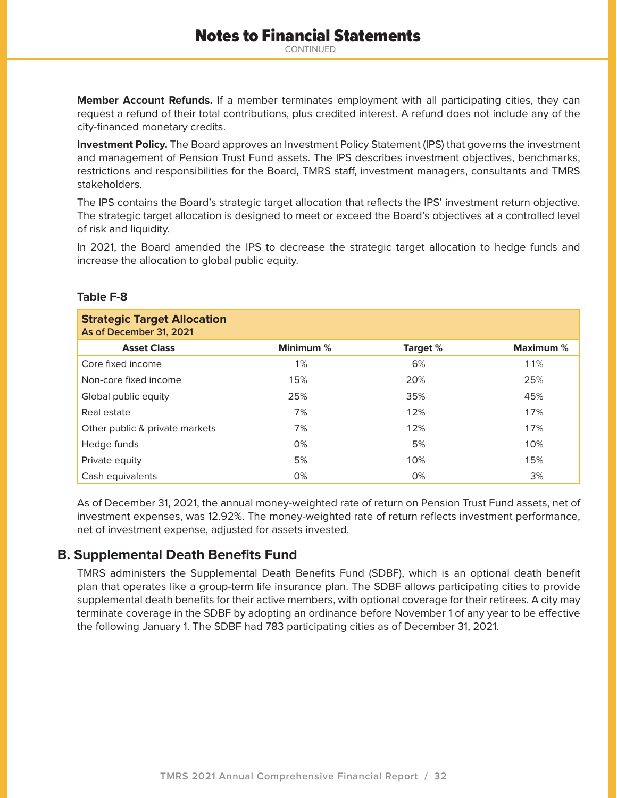**Member Account Refunds.** If a member terminates employment with all participating cities, they can request a refund of their total contributions, plus credited interest. A refund does not include any of the city-financed monetary credits.

**Investment Policy.** The Board approves an Investment Policy Statement (IPS) that governs the investment and management of Pension Trust Fund assets. The IPS describes investment objectives, benchmarks, restrictions and responsibilities for the Board, TMRS staff, investment managers, consultants and TMRS stakeholders.

The IPS contains the Board's strategic target allocation that reflects the IPS' investment return objective. The strategic target allocation is designed to meet or exceed the Board's objectives at a controlled level of risk and liquidity.

In 2021, the Board amended the IPS to decrease the strategic target allocation to hedge funds and increase the allocation to global public equity.

### **Table F-8**

| <b>Strategic Target Allocation</b><br>As of December 31, 2021 |           |          |           |
|---------------------------------------------------------------|-----------|----------|-----------|
| <b>Asset Class</b>                                            | Minimum % | Target % | Maximum % |
| Core fixed income                                             | 1%        | 6%       | 11%       |
| Non-core fixed income                                         | 15%       | 20%      | 25%       |
| Global public equity                                          | 25%       | 35%      | 45%       |
| Real estate                                                   | 7%        | 12%      | 17%       |
| Other public & private markets                                | 7%        | 12%      | 17%       |
| Hedge funds                                                   | 0%        | 5%       | 10%       |
| Private equity                                                | 5%        | 10%      | 15%       |
| Cash equivalents                                              | 0%        | 0%       | 3%        |

As of December 31, 2021, the annual money-weighted rate of return on Pension Trust Fund assets, net of investment expenses, was 12.92%. The money-weighted rate of return reflects investment performance, net of investment expense, adjusted for assets invested.

# **B. Supplemental Death Benefits Fund**

TMRS administers the Supplemental Death Benefits Fund (SDBF), which is an optional death benefit plan that operates like a group-term life insurance plan. The SDBF allows participating cities to provide supplemental death benefits for their active members, with optional coverage for their retirees. A city may terminate coverage in the SDBF by adopting an ordinance before November 1 of any year to be effective the following January 1. The SDBF had 783 participating cities as of December 31, 2021.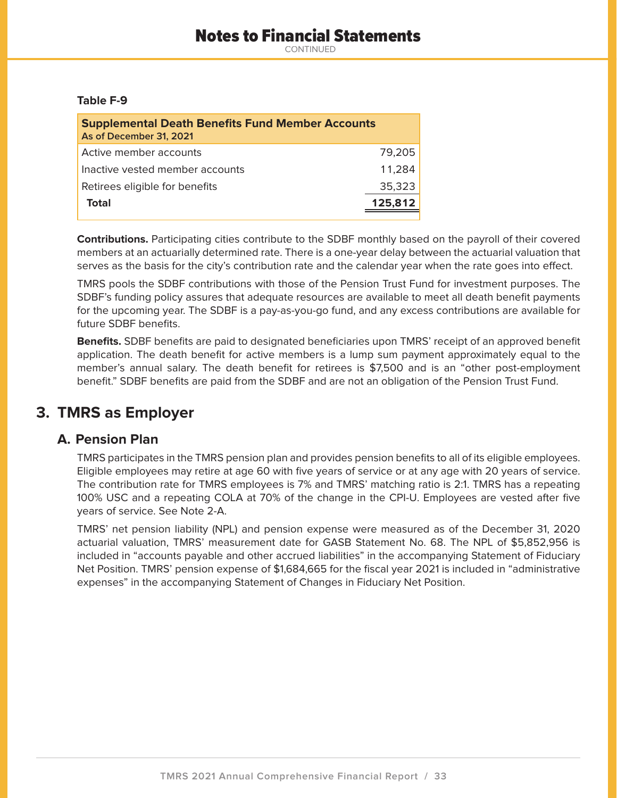### **Table F-9**

| <b>Supplemental Death Benefits Fund Member Accounts</b><br>As of December 31, 2021 |         |
|------------------------------------------------------------------------------------|---------|
| Active member accounts                                                             | 79.205  |
| Inactive vested member accounts                                                    | 11.284  |
| Retirees eligible for benefits                                                     | 35,323  |
| Total                                                                              | 125,812 |
|                                                                                    |         |

**Contributions.** Participating cities contribute to the SDBF monthly based on the payroll of their covered members at an actuarially determined rate. There is a one-year delay between the actuarial valuation that serves as the basis for the city's contribution rate and the calendar year when the rate goes into effect.

TMRS pools the SDBF contributions with those of the Pension Trust Fund for investment purposes. The SDBF's funding policy assures that adequate resources are available to meet all death benefit payments for the upcoming year. The SDBF is a pay-as-you-go fund, and any excess contributions are available for future SDBF benefits.

**Benefits.** SDBF benefits are paid to designated beneficiaries upon TMRS' receipt of an approved benefit application. The death benefit for active members is a lump sum payment approximately equal to the member's annual salary. The death benefit for retirees is \$7,500 and is an "other post-employment benefit." SDBF benefits are paid from the SDBF and are not an obligation of the Pension Trust Fund.

# **3. TMRS as Employer**

# **A. Pension Plan**

TMRS participates in the TMRS pension plan and provides pension benefits to all of its eligible employees. Eligible employees may retire at age 60 with five years of service or at any age with 20 years of service. The contribution rate for TMRS employees is 7% and TMRS' matching ratio is 2:1. TMRS has a repeating 100% USC and a repeating COLA at 70% of the change in the CPI-U. Employees are vested after five years of service. See Note 2-A.

TMRS' net pension liability (NPL) and pension expense were measured as of the December 31, 2020 actuarial valuation, TMRS' measurement date for GASB Statement No. 68. The NPL of \$5,852,956 is included in "accounts payable and other accrued liabilities" in the accompanying Statement of Fiduciary Net Position. TMRS' pension expense of \$1,684,665 for the fiscal year 2021 is included in "administrative expenses" in the accompanying Statement of Changes in Fiduciary Net Position.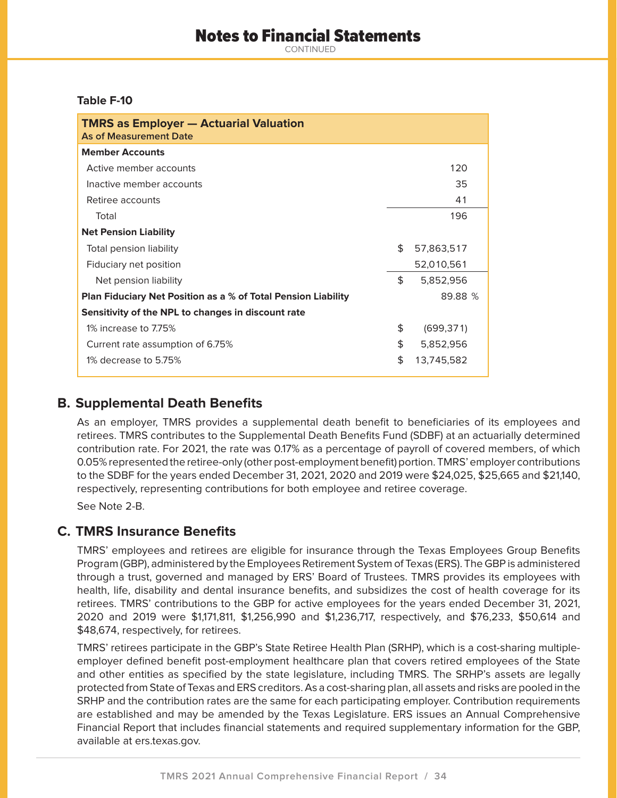# Notes to Financial Statements

CONTINUED

### **Table F-10**

| <b>TMRS as Employer - Actuarial Valuation</b><br><b>As of Measurement Date</b> |     |            |
|--------------------------------------------------------------------------------|-----|------------|
| <b>Member Accounts</b>                                                         |     |            |
| Active member accounts                                                         |     | 120        |
| Inactive member accounts                                                       |     | 35         |
| Retiree accounts                                                               |     | 41         |
| Total                                                                          |     | 196        |
| <b>Net Pension Liability</b>                                                   |     |            |
| Total pension liability                                                        | \$. | 57,863,517 |
| Fiduciary net position                                                         |     | 52,010,561 |
| Net pension liability                                                          | \$  | 5,852,956  |
| <b>Plan Fiduciary Net Position as a % of Total Pension Liability</b>           |     | 89.88 %    |
| Sensitivity of the NPL to changes in discount rate                             |     |            |
| 1% increase to 7.75%                                                           | \$  | (699, 371) |
| Current rate assumption of 6.75%                                               | \$  | 5,852,956  |
| 1% decrease to 5.75%                                                           | \$  | 13,745,582 |

# **B. Supplemental Death Benefits**

As an employer, TMRS provides a supplemental death benefit to beneficiaries of its employees and retirees. TMRS contributes to the Supplemental Death Benefits Fund (SDBF) at an actuarially determined contribution rate. For 2021, the rate was 0.17% as a percentage of payroll of covered members, of which 0.05% represented the retiree-only (other post-employment benefit) portion. TMRS' employer contributions to the SDBF for the years ended December 31, 2021, 2020 and 2019 were \$24,025, \$25,665 and \$21,140, respectively, representing contributions for both employee and retiree coverage.

See Note 2-B.

# **C. TMRS Insurance Benefits**

TMRS' employees and retirees are eligible for insurance through the Texas Employees Group Benefits Program (GBP), administered by the Employees Retirement System of Texas (ERS). The GBP is administered through a trust, governed and managed by ERS' Board of Trustees. TMRS provides its employees with health, life, disability and dental insurance benefits, and subsidizes the cost of health coverage for its retirees. TMRS' contributions to the GBP for active employees for the years ended December 31, 2021, 2020 and 2019 were \$1,171,811, \$1,256,990 and \$1,236,717, respectively, and \$76,233, \$50,614 and \$48,674, respectively, for retirees.

TMRS' retirees participate in the GBP's State Retiree Health Plan (SRHP), which is a cost-sharing multipleemployer defined benefit post-employment healthcare plan that covers retired employees of the State and other entities as specified by the state legislature, including TMRS. The SRHP's assets are legally protected from State of Texas and ERS creditors. As a cost-sharing plan, all assets and risks are pooled in the SRHP and the contribution rates are the same for each participating employer. Contribution requirements are established and may be amended by the Texas Legislature. ERS issues an Annual Comprehensive Financial Report that includes financial statements and required supplementary information for the GBP, available at ers.texas.gov.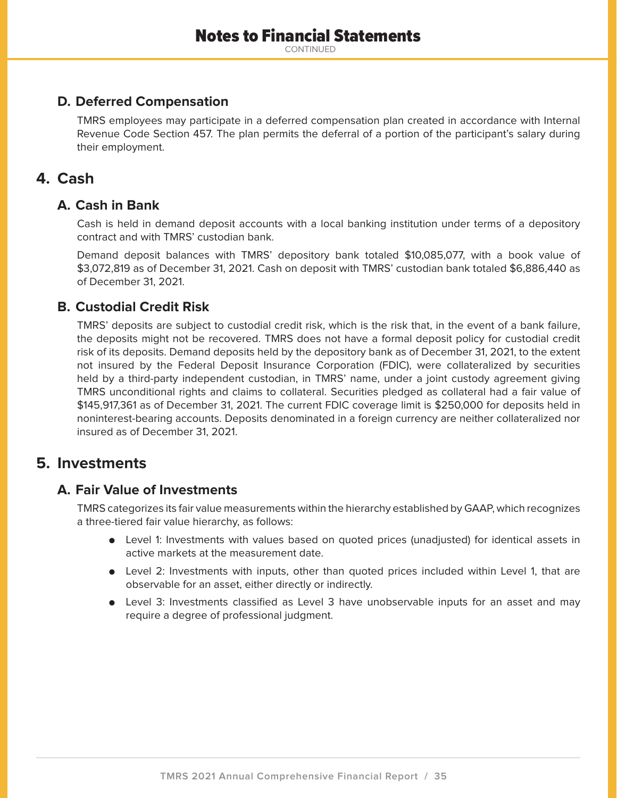# **D. Deferred Compensation**

TMRS employees may participate in a deferred compensation plan created in accordance with Internal Revenue Code Section 457. The plan permits the deferral of a portion of the participant's salary during their employment.

# **4. Cash**

## **A. Cash in Bank**

Cash is held in demand deposit accounts with a local banking institution under terms of a depository contract and with TMRS' custodian bank.

Demand deposit balances with TMRS' depository bank totaled \$10,085,077, with a book value of \$3,072,819 as of December 31, 2021. Cash on deposit with TMRS' custodian bank totaled \$6,886,440 as of December 31, 2021.

# **B. Custodial Credit Risk**

TMRS' deposits are subject to custodial credit risk, which is the risk that, in the event of a bank failure, the deposits might not be recovered. TMRS does not have a formal deposit policy for custodial credit risk of its deposits. Demand deposits held by the depository bank as of December 31, 2021, to the extent not insured by the Federal Deposit Insurance Corporation (FDIC), were collateralized by securities held by a third-party independent custodian, in TMRS' name, under a joint custody agreement giving TMRS unconditional rights and claims to collateral. Securities pledged as collateral had a fair value of \$145,917,361 as of December 31, 2021. The current FDIC coverage limit is \$250,000 for deposits held in noninterest-bearing accounts. Deposits denominated in a foreign currency are neither collateralized nor insured as of December 31, 2021.

# **5. Investments**

# **A. Fair Value of Investments**

TMRS categorizes its fair value measurements within the hierarchy established by GAAP, which recognizes a three-tiered fair value hierarchy, as follows:

- Level 1: Investments with values based on quoted prices (unadjusted) for identical assets in active markets at the measurement date.
- Level 2: Investments with inputs, other than quoted prices included within Level 1, that are observable for an asset, either directly or indirectly.
- Level 3: Investments classified as Level 3 have unobservable inputs for an asset and may require a degree of professional judgment.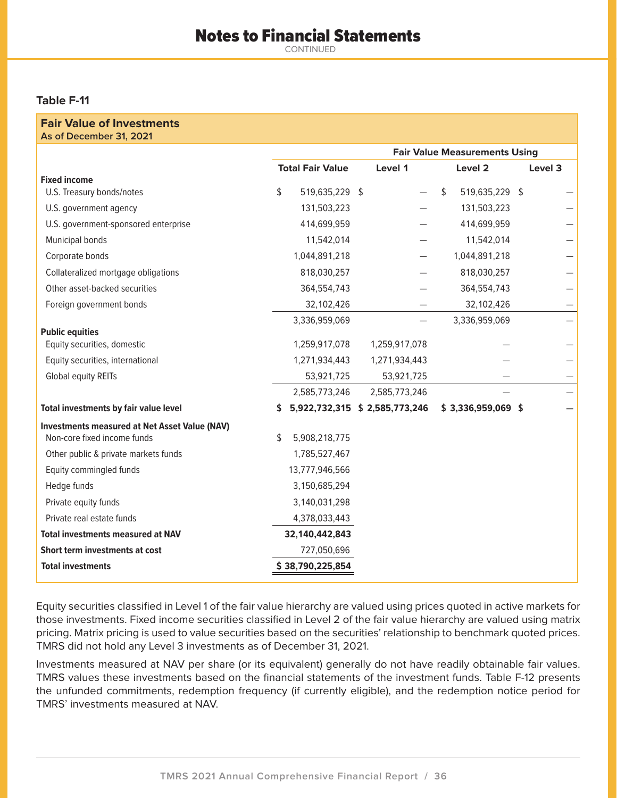# Notes to Financial Statements

CONTINUED

### **Table F-11**

#### **Fair Value of Investments As of December 31, 2021**

|                                                      |                         |                                | <b>Fair Value Measurements Using</b> |               |    |                     |  |         |
|------------------------------------------------------|-------------------------|--------------------------------|--------------------------------------|---------------|----|---------------------|--|---------|
|                                                      | <b>Total Fair Value</b> |                                |                                      | Level 1       |    | Level 2             |  | Level 3 |
| <b>Fixed income</b>                                  |                         |                                |                                      |               |    |                     |  |         |
| U.S. Treasury bonds/notes                            | \$                      | 519,635,229 \$                 |                                      |               | \$ | 519,635,229 \$      |  |         |
| U.S. government agency                               |                         | 131,503,223                    |                                      |               |    | 131,503,223         |  |         |
| U.S. government-sponsored enterprise                 |                         | 414,699,959                    |                                      |               |    | 414,699,959         |  |         |
| Municipal bonds                                      |                         | 11,542,014                     |                                      |               |    | 11,542,014          |  |         |
| Corporate bonds                                      |                         | 1,044,891,218                  |                                      |               |    | 1,044,891,218       |  |         |
| Collateralized mortgage obligations                  |                         | 818,030,257                    |                                      |               |    | 818,030,257         |  |         |
| Other asset-backed securities                        |                         | 364,554,743                    |                                      |               |    | 364,554,743         |  |         |
| Foreign government bonds                             |                         | 32,102,426                     |                                      |               |    | 32,102,426          |  |         |
|                                                      |                         | 3,336,959,069                  |                                      |               |    | 3,336,959,069       |  |         |
| <b>Public equities</b>                               |                         |                                |                                      |               |    |                     |  |         |
| Equity securities, domestic                          |                         | 1,259,917,078                  |                                      | 1,259,917,078 |    |                     |  |         |
| Equity securities, international                     |                         | 1,271,934,443                  |                                      | 1,271,934,443 |    |                     |  |         |
| Global equity REITs                                  |                         | 53,921,725                     |                                      | 53,921,725    |    |                     |  |         |
|                                                      |                         | 2,585,773,246                  |                                      | 2,585,773,246 |    |                     |  |         |
| Total investments by fair value level                | \$                      | 5,922,732,315 \$ 2,585,773,246 |                                      |               |    | $$3,336,959,069$ \$ |  |         |
| <b>Investments measured at Net Asset Value (NAV)</b> |                         |                                |                                      |               |    |                     |  |         |
| Non-core fixed income funds                          | \$                      | 5,908,218,775                  |                                      |               |    |                     |  |         |
| Other public & private markets funds                 |                         | 1,785,527,467                  |                                      |               |    |                     |  |         |
| Equity commingled funds                              |                         | 13,777,946,566                 |                                      |               |    |                     |  |         |
| Hedge funds                                          |                         | 3,150,685,294                  |                                      |               |    |                     |  |         |
| Private equity funds                                 |                         | 3,140,031,298                  |                                      |               |    |                     |  |         |
| Private real estate funds                            |                         | 4,378,033,443                  |                                      |               |    |                     |  |         |
| <b>Total investments measured at NAV</b>             |                         | 32,140,442,843                 |                                      |               |    |                     |  |         |
| Short term investments at cost                       |                         | 727,050,696                    |                                      |               |    |                     |  |         |
| <b>Total investments</b>                             |                         | \$38,790,225,854               |                                      |               |    |                     |  |         |

Equity securities classified in Level 1 of the fair value hierarchy are valued using prices quoted in active markets for those investments. Fixed income securities classified in Level 2 of the fair value hierarchy are valued using matrix pricing. Matrix pricing is used to value securities based on the securities' relationship to benchmark quoted prices. TMRS did not hold any Level 3 investments as of December 31, 2021.

Investments measured at NAV per share (or its equivalent) generally do not have readily obtainable fair values. TMRS values these investments based on the financial statements of the investment funds. Table F-12 presents the unfunded commitments, redemption frequency (if currently eligible), and the redemption notice period for TMRS' investments measured at NAV.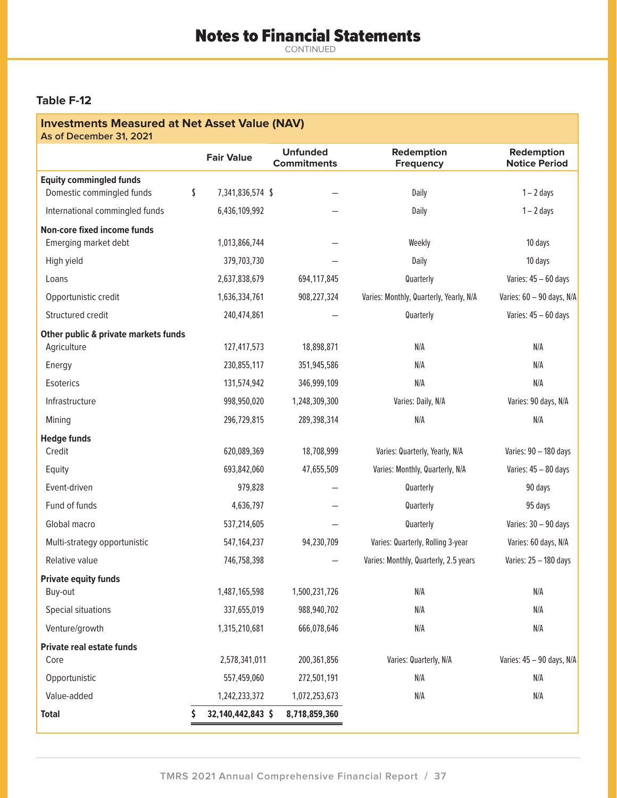### **Table F-12**

# **Investments Measured at Net Asset Value (NAV) As of December 31, 2021 Fair Value Unfunded Commitments Redemption Frequency Redemption Notice Period Equity commingled funds** Domestic commingled funds  $\qquad \qquad$  \$ 7,341,836,574 \$  $\qquad -$  Daily Daily 1 – 2 days International commingled funds 6,436,109,992 - The Daily 1-2 days **Non-core fixed income funds** Emerging market debt 1,013,866,744 – Theoryton Meekly 10 days High yield 379,703,730 — Daily 10 days Loans 2,637,838,679 694,117,845 Quarterly Varies: 45 – 60 days Opportunistic credit 1,636,334,761 908,227,324 Varies: Monthly, Quarterly, Yearly, N/A Varies: 60 – 90 days, N/A Structured credit and the case of 240,474,861 and the contract of the contract varies: 45 – 60 days **Other public & private markets funds**  Agriculture 127,417,573 18,898,871 N/A N/A N/A N/A Energy 230,855,117 351,945,586 N/A N/A Esoterics 131,574,942 346,999,109 N/A N/A Infrastructure 998,950,020 1,248,309,300 Varies: Daily, N/A Varies: 90 days, N/A Mining 296,729,815 289,398,314 N/A N/A N/A N/A **Hedge funds** Credit 620,089,369 18,708,999 Varies: Quarterly, Yearly, N/A Varies: 90 – 180 days Equity 693,842,060 47,655,509 Varies: Monthly, Quarterly, N/A Varies: 45 – 80 days Event-driven 979,828 — Quarterly 90 days Fund of funds 4,636,797 — Quarterly 95 days Global macro 537,214,605 — Quarterly Varies: 30 – 90 days Multi-strategy opportunistic 60 days, N/A 547,164,237 94,230,709 Varies: Quarterly, Rolling 3-year Varies: 60 days, N/A Relative value 25 - 180 days 746,758,398 746,758,398 and Maries: Monthly, Quarterly, 2.5 years Varies: 25 - 180 days **Private equity funds** Buy-out 1,487,165,598 1,500,231,726 N/A N/A Special situations 337,655,019 988,940,702 N/A N/A Venture/growth 1,315,210,681 666,078,646 N/A N/A **Private real estate funds** Core 2,578,341,011 200,361,856 Varies: Quarterly, N/A Varies: 45 – 90 days, N/A Opportunistic 557,459,060 272,501,191 N/A N/A Value-added 1,242,233,372 1,072,253,673 N/A N/A **Total \$ 32,140,442,843 \$ 8,718,859,360**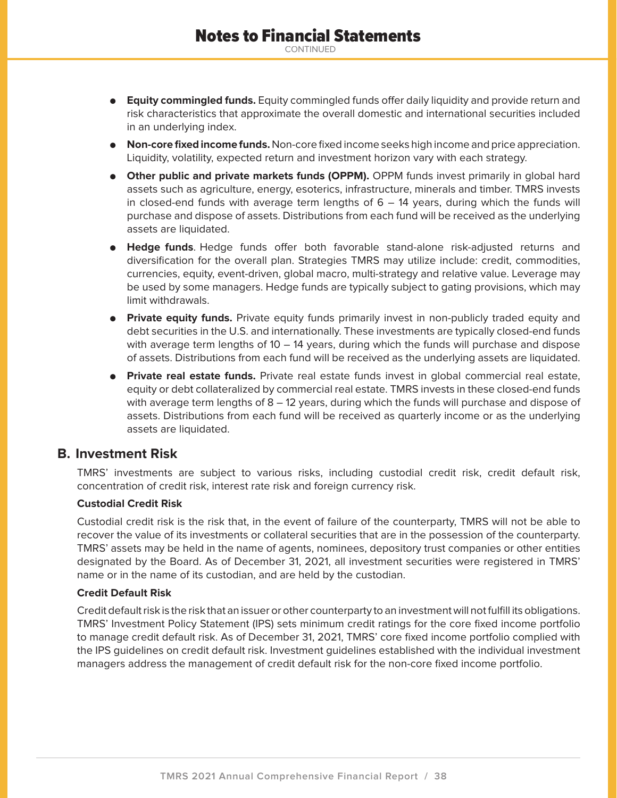- **Equity commingled funds.** Equity commingled funds offer daily liquidity and provide return and risk characteristics that approximate the overall domestic and international securities included in an underlying index.
- **Non-core fixed income funds.** Non-core fixed income seeks high income and price appreciation. Liquidity, volatility, expected return and investment horizon vary with each strategy.
- **.** Other public and private markets funds (OPPM). OPPM funds invest primarily in global hard assets such as agriculture, energy, esoterics, infrastructure, minerals and timber. TMRS invests in closed-end funds with average term lengths of  $6 - 14$  years, during which the funds will purchase and dispose of assets. Distributions from each fund will be received as the underlying assets are liquidated.
- $\bullet$  **Hedge funds**. Hedge funds offer both favorable stand-alone risk-adjusted returns and diversification for the overall plan. Strategies TMRS may utilize include: credit, commodities, currencies, equity, event-driven, global macro, multi-strategy and relative value. Leverage may be used by some managers. Hedge funds are typically subject to gating provisions, which may limit withdrawals.
- **Private equity funds.** Private equity funds primarily invest in non-publicly traded equity and debt securities in the U.S. and internationally. These investments are typically closed-end funds with average term lengths of  $10 - 14$  years, during which the funds will purchase and dispose of assets. Distributions from each fund will be received as the underlying assets are liquidated.
- **Private real estate funds.** Private real estate funds invest in global commercial real estate, equity or debt collateralized by commercial real estate. TMRS invests in these closed-end funds with average term lengths of  $8 - 12$  years, during which the funds will purchase and dispose of assets. Distributions from each fund will be received as quarterly income or as the underlying assets are liquidated.

## **B. Investment Risk**

TMRS' investments are subject to various risks, including custodial credit risk, credit default risk, concentration of credit risk, interest rate risk and foreign currency risk.

### **Custodial Credit Risk**

Custodial credit risk is the risk that, in the event of failure of the counterparty, TMRS will not be able to recover the value of its investments or collateral securities that are in the possession of the counterparty. TMRS' assets may be held in the name of agents, nominees, depository trust companies or other entities designated by the Board. As of December 31, 2021, all investment securities were registered in TMRS' name or in the name of its custodian, and are held by the custodian.

#### **Credit Default Risk**

Credit default risk is the risk that an issuer or other counterparty to an investment will not fulfill its obligations. TMRS' Investment Policy Statement (IPS) sets minimum credit ratings for the core fixed income portfolio to manage credit default risk. As of December 31, 2021, TMRS' core fixed income portfolio complied with the IPS guidelines on credit default risk. Investment guidelines established with the individual investment managers address the management of credit default risk for the non-core fixed income portfolio.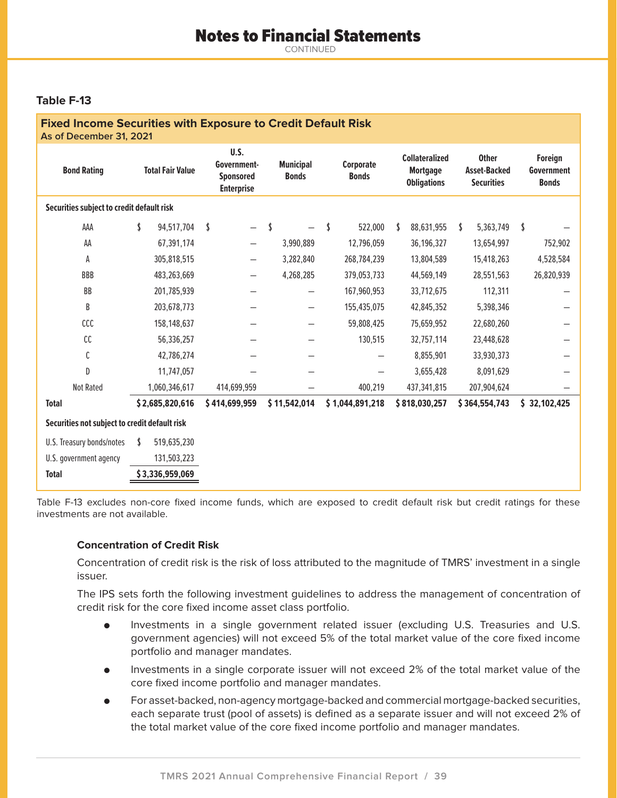### **Table F-13**

| <b>Fixed Income Securities with Exposure to Credit Default Risk</b><br>As of December 31, 2021 |                         |                                                              |                                  |                           |                                                                |                                                          |                                       |
|------------------------------------------------------------------------------------------------|-------------------------|--------------------------------------------------------------|----------------------------------|---------------------------|----------------------------------------------------------------|----------------------------------------------------------|---------------------------------------|
| <b>Bond Rating</b>                                                                             | <b>Total Fair Value</b> | U.S.<br>Government-<br><b>Sponsored</b><br><b>Enterprise</b> | <b>Municipal</b><br><b>Bonds</b> | Corporate<br><b>Bonds</b> | <b>Collateralized</b><br><b>Mortgage</b><br><b>Obligations</b> | <b>Other</b><br><b>Asset-Backed</b><br><b>Securities</b> | Foreign<br>Government<br><b>Bonds</b> |
| Securities subject to credit default risk                                                      |                         |                                                              |                                  |                           |                                                                |                                                          |                                       |
| AAA                                                                                            | \$<br>94,517,704        | \$                                                           | \$                               | \$<br>522,000             | 88,631,955<br>S                                                | \$<br>5,363,749                                          | \$                                    |
| AA                                                                                             | 67,391,174              |                                                              | 3,990,889                        | 12,796,059                | 36,196,327                                                     | 13,654,997                                               | 752,902                               |
| А                                                                                              | 305,818,515             |                                                              | 3,282,840                        | 268,784,239               | 13,804,589                                                     | 15,418,263                                               | 4,528,584                             |
| <b>BBB</b>                                                                                     | 483,263,669             |                                                              | 4,268,285                        | 379,053,733               | 44,569,149                                                     | 28,551,563                                               | 26,820,939                            |
| BB                                                                                             | 201,785,939             |                                                              |                                  | 167,960,953               | 33,712,675                                                     | 112,311                                                  |                                       |
| B                                                                                              | 203,678,773             |                                                              |                                  | 155,435,075               | 42,845,352                                                     | 5,398,346                                                |                                       |
| ccc                                                                                            | 158,148,637             |                                                              |                                  | 59,808,425                | 75,659,952                                                     | 22,680,260                                               |                                       |
| cc                                                                                             | 56,336,257              |                                                              |                                  | 130,515                   | 32,757,114                                                     | 23,448,628                                               |                                       |
| C                                                                                              | 42,786,274              |                                                              |                                  |                           | 8,855,901                                                      | 33,930,373                                               |                                       |
| D                                                                                              | 11,747,057              |                                                              |                                  |                           | 3,655,428                                                      | 8,091,629                                                |                                       |
| <b>Not Rated</b>                                                                               | 1,060,346,617           | 414,699,959                                                  |                                  | 400,219                   | 437,341,815                                                    | 207,904,624                                              |                                       |
| <b>Total</b>                                                                                   | \$2,685,820,616         | \$414,699,959                                                | \$11,542,014                     | \$1,044,891,218           | \$818,030,257                                                  | \$364,554,743                                            | \$32,102,425                          |
| Securities not subject to credit default risk                                                  |                         |                                                              |                                  |                           |                                                                |                                                          |                                       |
| U.S. Treasury bonds/notes                                                                      | 519,635,230<br>-S.      |                                                              |                                  |                           |                                                                |                                                          |                                       |
| U.S. government agency                                                                         | 131,503,223             |                                                              |                                  |                           |                                                                |                                                          |                                       |
| <b>Total</b>                                                                                   | \$3,336,959,069         |                                                              |                                  |                           |                                                                |                                                          |                                       |

Table F-13 excludes non-core fixed income funds, which are exposed to credit default risk but credit ratings for these investments are not available.

#### **Concentration of Credit Risk**

Concentration of credit risk is the risk of loss attributed to the magnitude of TMRS' investment in a single issuer.

The IPS sets forth the following investment guidelines to address the management of concentration of credit risk for the core fixed income asset class portfolio.

- $\bullet$  Investments in a single government related issuer (excluding U.S. Treasuries and U.S. government agencies) will not exceed 5% of the total market value of the core fixed income portfolio and manager mandates.
- $\bullet$  Investments in a single corporate issuer will not exceed 2% of the total market value of the core fixed income portfolio and manager mandates.
- $\bullet$  For asset-backed, non-agency mortgage-backed and commercial mortgage-backed securities, each separate trust (pool of assets) is defined as a separate issuer and will not exceed 2% of the total market value of the core fixed income portfolio and manager mandates.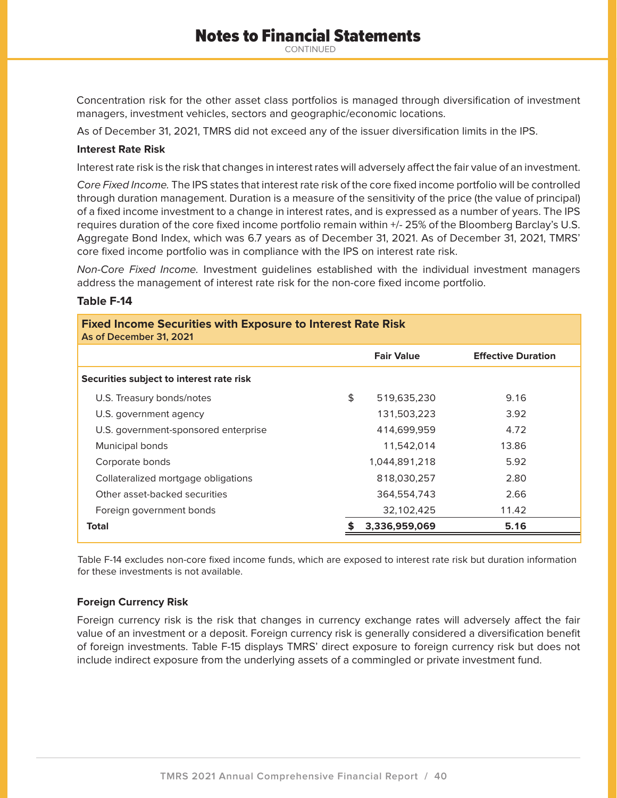# Notes to Financial Statements

CONTINUED

Concentration risk for the other asset class portfolios is managed through diversification of investment managers, investment vehicles, sectors and geographic/economic locations.

As of December 31, 2021, TMRS did not exceed any of the issuer diversification limits in the IPS.

#### **Interest Rate Risk**

Interest rate risk is the risk that changes in interest rates will adversely affect the fair value of an investment.

Core Fixed Income. The IPS states that interest rate risk of the core fixed income portfolio will be controlled through duration management. Duration is a measure of the sensitivity of the price (the value of principal) of a fixed income investment to a change in interest rates, and is expressed as a number of years. The IPS requires duration of the core fixed income portfolio remain within +/- 25% of the Bloomberg Barclay's U.S. Aggregate Bond Index, which was 6.7 years as of December 31, 2021. As of December 31, 2021, TMRS' core fixed income portfolio was in compliance with the IPS on interest rate risk.

Non-Core Fixed Income. Investment guidelines established with the individual investment managers address the management of interest rate risk for the non-core fixed income portfolio.

#### **Table F-14**

| <b>Fixed Income Securities with Exposure to Interest Rate Risk</b><br>As of December 31, 2021 |    |                   |                           |  |  |  |  |  |
|-----------------------------------------------------------------------------------------------|----|-------------------|---------------------------|--|--|--|--|--|
|                                                                                               |    | <b>Fair Value</b> | <b>Effective Duration</b> |  |  |  |  |  |
| Securities subject to interest rate risk                                                      |    |                   |                           |  |  |  |  |  |
| U.S. Treasury bonds/notes                                                                     | \$ | 519,635,230       | 9.16                      |  |  |  |  |  |
| U.S. government agency                                                                        |    | 131,503,223       | 3.92                      |  |  |  |  |  |
| U.S. government-sponsored enterprise                                                          |    | 414,699,959       | 4.72                      |  |  |  |  |  |
| Municipal bonds                                                                               |    | 11,542,014        | 13.86                     |  |  |  |  |  |
| Corporate bonds                                                                               |    | 1,044,891,218     | 5.92                      |  |  |  |  |  |
| Collateralized mortgage obligations                                                           |    | 818,030,257       | 2.80                      |  |  |  |  |  |
| Other asset-backed securities                                                                 |    | 364,554,743       | 2.66                      |  |  |  |  |  |
| Foreign government bonds                                                                      |    | 32,102,425        | 11.42                     |  |  |  |  |  |
| <b>Total</b>                                                                                  |    | 3,336,959,069     | 5.16                      |  |  |  |  |  |

Table F-14 excludes non-core fixed income funds, which are exposed to interest rate risk but duration information for these investments is not available.

#### **Foreign Currency Risk**

Foreign currency risk is the risk that changes in currency exchange rates will adversely affect the fair value of an investment or a deposit. Foreign currency risk is generally considered a diversification benefit of foreign investments. Table F-15 displays TMRS' direct exposure to foreign currency risk but does not include indirect exposure from the underlying assets of a commingled or private investment fund.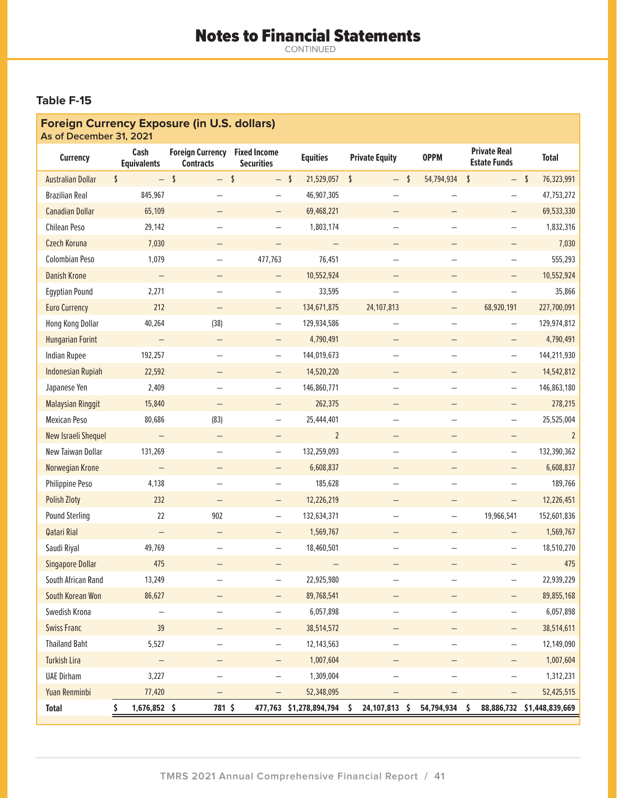# **Table F-15**

| <b>Foreign Currency Exposure (in U.S. dollars)</b><br>As of December 31, 2021 |                            |                                             |                                          |  |                         |                       |                          |                          |                                            |      |                            |
|-------------------------------------------------------------------------------|----------------------------|---------------------------------------------|------------------------------------------|--|-------------------------|-----------------------|--------------------------|--------------------------|--------------------------------------------|------|----------------------------|
| <b>Currency</b>                                                               | Cash<br><b>Equivalents</b> | <b>Foreign Currency</b><br><b>Contracts</b> | <b>Fixed Income</b><br><b>Securities</b> |  | <b>Equities</b>         | <b>Private Equity</b> |                          | <b>OPPM</b>              | <b>Private Real</b><br><b>Estate Funds</b> |      | <b>Total</b>               |
| <b>Australian Dollar</b>                                                      | \$<br>$-$                  | $\mathsf{\overline{S}}$<br>$-$              | $\sqrt{2}$<br>$-5$                       |  | 21,529,057              | \$                    | $\sqrt{2}$<br>$-$        | 54,794,934               | \$                                         | $-5$ | 76,323,991                 |
| <b>Brazilian Real</b>                                                         | 845,967                    |                                             |                                          |  | 46,907,305              |                       |                          |                          | $\overline{\phantom{0}}$                   |      | 47,753,272                 |
| <b>Canadian Dollar</b>                                                        | 65,109                     |                                             | $\qquad \qquad -$                        |  | 69,468,221              |                       | $\qquad \qquad -$        |                          | $\qquad \qquad -$                          |      | 69,533,330                 |
| Chilean Peso                                                                  | 29,142                     |                                             | -                                        |  | 1,803,174               |                       |                          |                          | -                                          |      | 1,832,316                  |
| Czech Koruna                                                                  | 7,030                      |                                             |                                          |  |                         |                       |                          |                          |                                            |      | 7,030                      |
| <b>Colombian Peso</b>                                                         | 1,079                      |                                             | 477,763                                  |  | 76,451                  |                       |                          |                          | -                                          |      | 555,293                    |
| <b>Danish Krone</b>                                                           |                            |                                             |                                          |  | 10,552,924              |                       |                          |                          |                                            |      | 10,552,924                 |
| <b>Egyptian Pound</b>                                                         | 2,271                      |                                             | $\qquad \qquad -$                        |  | 33,595                  |                       | -                        | $\overline{\phantom{0}}$ | -                                          |      | 35,866                     |
| <b>Euro Currency</b>                                                          | 212                        |                                             | $\qquad \qquad -$                        |  | 134,671,875             |                       | 24, 107, 813             | $\overline{\phantom{0}}$ | 68,920,191                                 |      | 227,700,091                |
| Hong Kong Dollar                                                              | 40,264                     | (38)                                        | -                                        |  | 129,934,586             |                       |                          |                          | -                                          |      | 129,974,812                |
| <b>Hungarian Forint</b>                                                       | $\overline{\phantom{0}}$   |                                             | $\qquad \qquad -$                        |  | 4,790,491               |                       |                          |                          | $\qquad \qquad -$                          |      | 4,790,491                  |
| <b>Indian Rupee</b>                                                           | 192,257                    |                                             | -                                        |  | 144,019,673             |                       |                          |                          | -                                          |      | 144,211,930                |
| <b>Indonesian Rupiah</b>                                                      | 22,592                     |                                             | $\qquad \qquad -$                        |  | 14,520,220              |                       |                          |                          |                                            |      | 14,542,812                 |
| Japanese Yen                                                                  | 2,409                      | -                                           | $\qquad \qquad -$                        |  | 146,860,771             |                       | $\overline{\phantom{0}}$ | $\qquad \qquad -$        | $\qquad \qquad -$                          |      | 146,863,180                |
| <b>Malaysian Ringgit</b>                                                      | 15,840                     |                                             |                                          |  | 262,375                 |                       |                          |                          |                                            |      | 278,215                    |
| <b>Mexican Peso</b>                                                           | 80,686                     | (83)                                        | —                                        |  | 25,444,401              |                       |                          |                          | $\overline{\phantom{0}}$                   |      | 25,525,004                 |
| New Israeli Shequel                                                           |                            |                                             |                                          |  | $\overline{2}$          |                       |                          |                          |                                            |      | $\overline{2}$             |
| New Taiwan Dollar                                                             | 131,269                    |                                             | -                                        |  | 132,259,093             |                       |                          |                          | -                                          |      | 132,390,362                |
| Norwegian Krone                                                               | $\qquad \qquad -$          |                                             |                                          |  | 6,608,837               |                       |                          |                          |                                            |      | 6,608,837                  |
| Philippine Peso                                                               | 4,138                      |                                             | $\qquad \qquad -$                        |  | 185,628                 |                       | $\overline{\phantom{0}}$ | $\overline{\phantom{0}}$ | $\qquad \qquad -$                          |      | 189,766                    |
| <b>Polish Zloty</b>                                                           | 232                        |                                             | -                                        |  | 12,226,219              |                       |                          | -                        | —                                          |      | 12,226,451                 |
| <b>Pound Sterling</b>                                                         | 22                         | 902                                         | -                                        |  | 132,634,371             |                       |                          | $\overline{\phantom{0}}$ | 19,966,541                                 |      | 152,601,836                |
| <b>Qatari Rial</b>                                                            | $\qquad \qquad -$          | $\qquad \qquad -$                           | $\qquad \qquad -$                        |  | 1,569,767               |                       | -                        | —                        |                                            |      | 1,569,767                  |
| Saudi Riyal                                                                   | 49,769                     |                                             |                                          |  | 18,460,501              |                       |                          |                          |                                            |      | 18,510,270                 |
| <b>Singapore Dollar</b>                                                       | 475                        |                                             |                                          |  |                         |                       |                          |                          |                                            |      | 475                        |
| South African Rand                                                            | 13,249                     |                                             |                                          |  | 22,925,980              |                       |                          |                          | -                                          |      | 22,939,229                 |
| South Korean Won                                                              | 86,627                     |                                             |                                          |  | 89,768,541              |                       |                          |                          |                                            |      | 89,855,168                 |
| Swedish Krona                                                                 | -                          | -                                           | $\overline{\phantom{0}}$                 |  | 6,057,898               |                       | $\equiv$                 | $\qquad \qquad -$        | $\qquad \qquad -$                          |      | 6,057,898                  |
| <b>Swiss Franc</b>                                                            | 39                         |                                             | -                                        |  | 38,514,572              |                       |                          |                          | —                                          |      | 38,514,611                 |
| <b>Thailand Baht</b>                                                          | 5,527                      |                                             | $\overline{\phantom{0}}$                 |  | 12,143,563              |                       | —                        | $\qquad \qquad -$        | -                                          |      | 12,149,090                 |
| <b>Turkish Lira</b>                                                           |                            |                                             | -                                        |  | 1,007,604               |                       |                          |                          |                                            |      | 1,007,604                  |
| <b>UAE Dirham</b>                                                             | 3,227                      |                                             |                                          |  | 1,309,004               |                       |                          |                          |                                            |      | 1,312,231                  |
| Yuan Renminbi                                                                 | 77,420                     |                                             |                                          |  | 52,348,095              |                       | -                        | $\qquad \qquad -$        | -                                          |      | 52,425,515                 |
| <b>Total</b>                                                                  | \$<br>1,676,852 \$         | 781 \$                                      |                                          |  | 477,763 \$1,278,894,794 | \$                    | 24,107,813<br>\$         | 54,794,934               | \$                                         |      | 88,886,732 \$1,448,839,669 |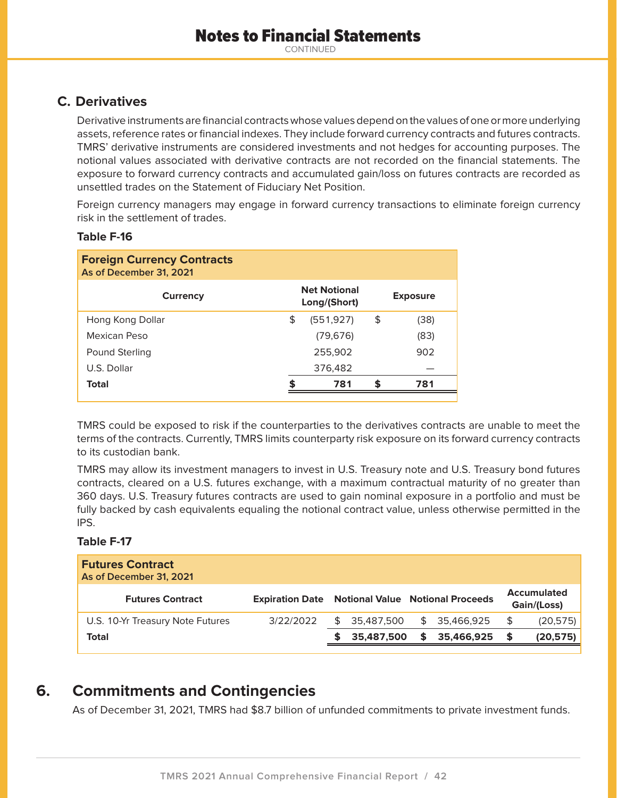# **C. Derivatives**

Derivative instruments are financial contracts whose values depend on the values of one or more underlying assets, reference rates or financial indexes. They include forward currency contracts and futures contracts. TMRS' derivative instruments are considered investments and not hedges for accounting purposes. The notional values associated with derivative contracts are not recorded on the financial statements. The exposure to forward currency contracts and accumulated gain/loss on futures contracts are recorded as unsettled trades on the Statement of Fiduciary Net Position.

Foreign currency managers may engage in forward currency transactions to eliminate foreign currency risk in the settlement of trades.

### **Table F-16**

| <b>Foreign Currency Contracts</b><br>As of December 31, 2021 |                                     |                 |
|--------------------------------------------------------------|-------------------------------------|-----------------|
| Currency                                                     | <b>Net Notional</b><br>Long/(Short) | <b>Exposure</b> |
| Hong Kong Dollar                                             | \$<br>(551, 927)                    | \$<br>(38)      |
| Mexican Peso                                                 | (79, 676)                           | (83)            |
| Pound Sterling                                               | 255,902                             | 902             |
| U.S. Dollar                                                  | 376,482                             |                 |
| Total                                                        | 781                                 | 781             |
|                                                              |                                     |                 |

TMRS could be exposed to risk if the counterparties to the derivatives contracts are unable to meet the terms of the contracts. Currently, TMRS limits counterparty risk exposure on its forward currency contracts to its custodian bank.

TMRS may allow its investment managers to invest in U.S. Treasury note and U.S. Treasury bond futures contracts, cleared on a U.S. futures exchange, with a maximum contractual maturity of no greater than 360 days. U.S. Treasury futures contracts are used to gain nominal exposure in a portfolio and must be fully backed by cash equivalents equaling the notional contract value, unless otherwise permitted in the IPS.

### **Table F-17**

| <b>Futures Contract</b><br>As of December 31, 2021 |           |    |            |                                                         |            |                                   |           |
|----------------------------------------------------|-----------|----|------------|---------------------------------------------------------|------------|-----------------------------------|-----------|
| <b>Futures Contract</b>                            |           |    |            | <b>Expiration Date Notional Value Notional Proceeds</b> |            | <b>Accumulated</b><br>Gain/(Loss) |           |
| U.S. 10-Yr Treasury Note Futures                   | 3/22/2022 | \$ | 35.487.500 | \$                                                      | 35.466.925 | \$                                | (20, 575) |
| Total                                              |           |    | 35,487,500 | S.                                                      | 35,466,925 | - SS                              | (20, 575) |
|                                                    |           |    |            |                                                         |            |                                   |           |

# **6. Commitments and Contingencies**

As of December 31, 2021, TMRS had \$8.7 billion of unfunded commitments to private investment funds.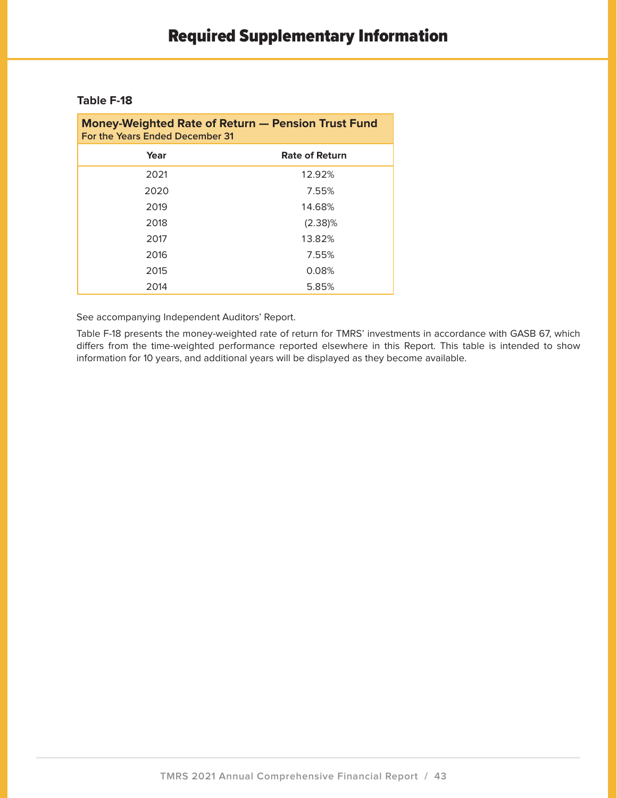### **Table F-18**

| <b>Money-Weighted Rate of Return - Pension Trust Fund</b><br>For the Years Ended December 31 |                       |  |  |  |  |
|----------------------------------------------------------------------------------------------|-----------------------|--|--|--|--|
| Year                                                                                         | <b>Rate of Return</b> |  |  |  |  |
| 2021                                                                                         | 12.92%                |  |  |  |  |
| 2020                                                                                         | 7.55%                 |  |  |  |  |
| 2019                                                                                         | 14.68%                |  |  |  |  |
| 2018                                                                                         | $(2.38)\%$            |  |  |  |  |
| 2017                                                                                         | 13.82%                |  |  |  |  |
| 2016                                                                                         | 7.55%                 |  |  |  |  |
| 2015                                                                                         | 0.08%                 |  |  |  |  |
| 2014                                                                                         | 5.85%                 |  |  |  |  |

See accompanying Independent Auditors' Report.

Table F-18 presents the money-weighted rate of return for TMRS' investments in accordance with GASB 67, which differs from the time-weighted performance reported elsewhere in this Report. This table is intended to show information for 10 years, and additional years will be displayed as they become available.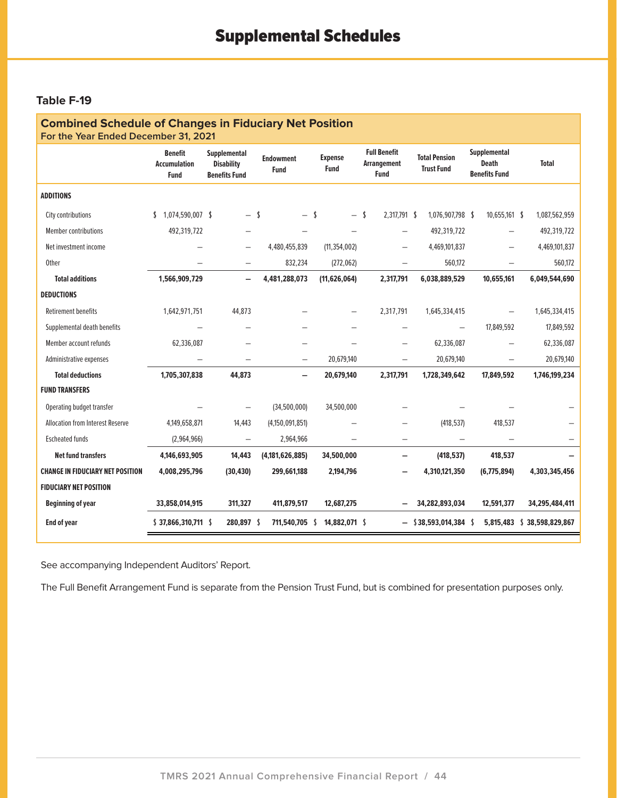### **Table F-19**

| <b>Combined Schedule of Changes in Fiduciary Net Position</b><br>For the Year Ended December 31, 2021 |                                                      |                                                           |                                 |                               |                                                          |                                           |                                                      |                            |
|-------------------------------------------------------------------------------------------------------|------------------------------------------------------|-----------------------------------------------------------|---------------------------------|-------------------------------|----------------------------------------------------------|-------------------------------------------|------------------------------------------------------|----------------------------|
|                                                                                                       | <b>Benefit</b><br><b>Accumulation</b><br><b>Fund</b> | Supplemental<br><b>Disability</b><br><b>Benefits Fund</b> | <b>Endowment</b><br><b>Fund</b> | <b>Expense</b><br><b>Fund</b> | <b>Full Benefit</b><br><b>Arrangement</b><br><b>Fund</b> | <b>Total Pension</b><br><b>Trust Fund</b> | Supplemental<br><b>Death</b><br><b>Benefits Fund</b> | <b>Total</b>               |
| <b>ADDITIONS</b>                                                                                      |                                                      |                                                           |                                 |                               |                                                          |                                           |                                                      |                            |
| City contributions                                                                                    | 1.074.590.007 \$<br>\$                               | $-1$                                                      | $-5$                            | $\overline{\phantom{0}}$      | 2.317.791 \$<br>- \$                                     | 1,076,907,798 \$                          | $10,655,161$ \$                                      | 1,087,562,959              |
| <b>Member contributions</b>                                                                           | 492,319,722                                          |                                                           |                                 |                               |                                                          | 492,319,722                               | $\qquad \qquad -$                                    | 492,319,722                |
| Net investment income                                                                                 |                                                      |                                                           | 4,480,455,839                   | (11, 354, 002)                |                                                          | 4,469,101,837                             | $\overline{\phantom{0}}$                             | 4,469,101,837              |
| <b>Other</b>                                                                                          |                                                      |                                                           | 832,234                         | (272, 062)                    |                                                          | 560,172                                   |                                                      | 560,172                    |
| <b>Total additions</b>                                                                                | 1,566,909,729                                        | $\overline{\phantom{0}}$                                  | 4,481,288,073                   | (11, 626, 064)                | 2,317,791                                                | 6,038,889,529                             | 10,655,161                                           | 6,049,544,690              |
| <b>DEDUCTIONS</b>                                                                                     |                                                      |                                                           |                                 |                               |                                                          |                                           |                                                      |                            |
| <b>Retirement benefits</b>                                                                            | 1,642,971,751                                        | 44,873                                                    |                                 |                               | 2,317,791                                                | 1,645,334,415                             |                                                      | 1,645,334,415              |
| Supplemental death benefits                                                                           |                                                      |                                                           |                                 |                               |                                                          | $\overline{\phantom{0}}$                  | 17,849,592                                           | 17,849,592                 |
| Member account refunds                                                                                | 62,336,087                                           |                                                           |                                 |                               |                                                          | 62,336,087                                |                                                      | 62,336,087                 |
| Administrative expenses                                                                               |                                                      |                                                           |                                 | 20,679,140                    | $\overline{\phantom{0}}$                                 | 20,679,140                                |                                                      | 20,679,140                 |
| <b>Total deductions</b>                                                                               | 1,705,307,838                                        | 44,873                                                    |                                 | 20,679,140                    | 2,317,791                                                | 1,728,349,642                             | 17,849,592                                           | 1,746,199,234              |
| <b>FUND TRANSFERS</b>                                                                                 |                                                      |                                                           |                                 |                               |                                                          |                                           |                                                      |                            |
| Operating budget transfer                                                                             |                                                      |                                                           | (34,500,000)                    | 34,500,000                    |                                                          |                                           |                                                      |                            |
| <b>Allocation from Interest Reserve</b>                                                               | 4,149,658,871                                        | 14,443                                                    | (4,150,091,851)                 |                               |                                                          | (418, 537)                                | 418.537                                              |                            |
| <b>Escheated funds</b>                                                                                | (2,964,966)                                          | $\equiv$                                                  | 2,964,966                       |                               |                                                          |                                           |                                                      |                            |
| <b>Net fund transfers</b>                                                                             | 4,146,693,905                                        | 14,443                                                    | (4, 181, 626, 885)              | 34,500,000                    | $\overline{\phantom{0}}$                                 | (418, 537)                                | 418,537                                              |                            |
| <b>CHANGE IN FIDUCIARY NET POSITION</b>                                                               | 4,008,295,796                                        | (30, 430)                                                 | 299,661,188                     | 2,194,796                     |                                                          | 4,310,121,350                             | (6,775,894)                                          | 4,303,345,456              |
| <b>FIDUCIARY NET POSITION</b>                                                                         |                                                      |                                                           |                                 |                               |                                                          |                                           |                                                      |                            |
| <b>Beginning of year</b>                                                                              | 33,858,014,915                                       | 311,327                                                   | 411,879,517                     | 12,687,275                    |                                                          | 34,282,893,034                            | 12,591,377                                           | 34,295,484,411             |
| <b>End of year</b>                                                                                    | $$37,866,310,711$ \$                                 | 280,897 \$                                                | 711,540,705 \$                  | 14,882,071 \$                 |                                                          | $-$ \$38,593,014,384 \$                   |                                                      | 5,815,483 \$38,598,829,867 |

See accompanying Independent Auditors' Report.

The Full Benefit Arrangement Fund is separate from the Pension Trust Fund, but is combined for presentation purposes only.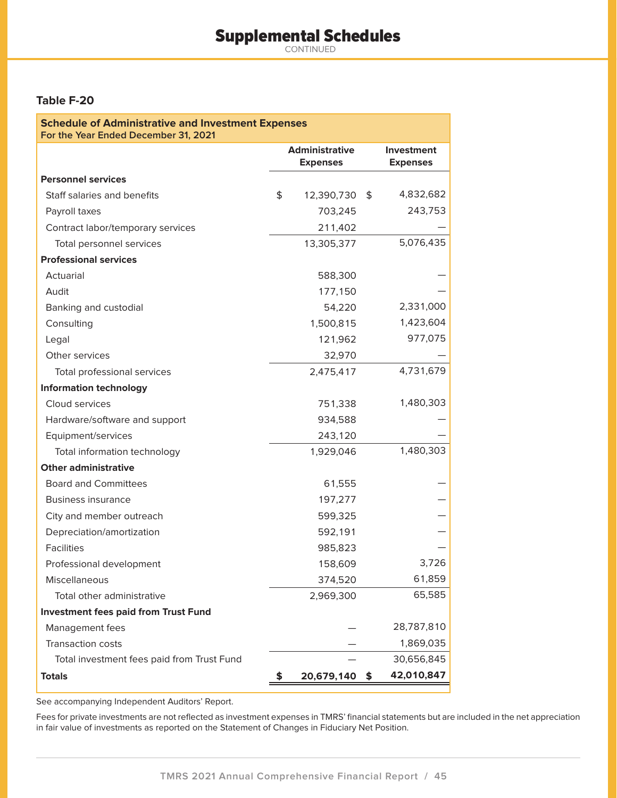# Supplemental Schedules

CONTINUED

### **Table F-20**

| <b>Schedule of Administrative and Investment Expenses</b><br>For the Year Ended December 31, 2021 |    |                                          |    |                               |  |  |  |
|---------------------------------------------------------------------------------------------------|----|------------------------------------------|----|-------------------------------|--|--|--|
|                                                                                                   |    | <b>Administrative</b><br><b>Expenses</b> |    | Investment<br><b>Expenses</b> |  |  |  |
| <b>Personnel services</b>                                                                         |    |                                          |    |                               |  |  |  |
| Staff salaries and benefits                                                                       | \$ | 12,390,730                               | \$ | 4,832,682                     |  |  |  |
| Payroll taxes                                                                                     |    | 703,245                                  |    | 243,753                       |  |  |  |
| Contract labor/temporary services                                                                 |    | 211,402                                  |    |                               |  |  |  |
| Total personnel services                                                                          |    | 13,305,377                               |    | 5,076,435                     |  |  |  |
| <b>Professional services</b>                                                                      |    |                                          |    |                               |  |  |  |
| Actuarial                                                                                         |    | 588,300                                  |    |                               |  |  |  |
| Audit                                                                                             |    | 177,150                                  |    |                               |  |  |  |
| Banking and custodial                                                                             |    | 54,220                                   |    | 2,331,000                     |  |  |  |
| Consulting                                                                                        |    | 1,500,815                                |    | 1,423,604                     |  |  |  |
| Legal                                                                                             |    | 121,962                                  |    | 977,075                       |  |  |  |
| Other services                                                                                    |    | 32,970                                   |    |                               |  |  |  |
| Total professional services                                                                       |    | 2,475,417                                |    | 4,731,679                     |  |  |  |
| <b>Information technology</b>                                                                     |    |                                          |    |                               |  |  |  |
| Cloud services                                                                                    |    | 751,338                                  |    | 1,480,303                     |  |  |  |
| Hardware/software and support                                                                     |    | 934,588                                  |    |                               |  |  |  |
| Equipment/services                                                                                |    | 243,120                                  |    |                               |  |  |  |
| Total information technology                                                                      |    | 1,929,046                                |    | 1,480,303                     |  |  |  |
| <b>Other administrative</b>                                                                       |    |                                          |    |                               |  |  |  |
| <b>Board and Committees</b>                                                                       |    | 61,555                                   |    |                               |  |  |  |
| <b>Business insurance</b>                                                                         |    | 197,277                                  |    |                               |  |  |  |
| City and member outreach                                                                          |    | 599,325                                  |    |                               |  |  |  |
| Depreciation/amortization                                                                         |    | 592,191                                  |    |                               |  |  |  |
| <b>Facilities</b>                                                                                 |    | 985,823                                  |    |                               |  |  |  |
| Professional development                                                                          |    | 158,609                                  |    | 3,726                         |  |  |  |
| Miscellaneous                                                                                     |    | 374,520                                  |    | 61,859                        |  |  |  |
| Total other administrative                                                                        |    | 2,969,300                                |    | 65,585                        |  |  |  |
| <b>Investment fees paid from Trust Fund</b>                                                       |    |                                          |    |                               |  |  |  |
| Management fees                                                                                   |    |                                          |    | 28,787,810                    |  |  |  |
| <b>Transaction costs</b>                                                                          |    |                                          |    | 1,869,035                     |  |  |  |
| Total investment fees paid from Trust Fund                                                        |    |                                          |    | 30,656,845                    |  |  |  |
| <b>Totals</b>                                                                                     | \$ | 20,679,140                               | \$ | 42,010,847                    |  |  |  |

See accompanying Independent Auditors' Report.

Fees for private investments are not reflected as investment expenses in TMRS' financial statements but are included in the net appreciation in fair value of investments as reported on the Statement of Changes in Fiduciary Net Position.